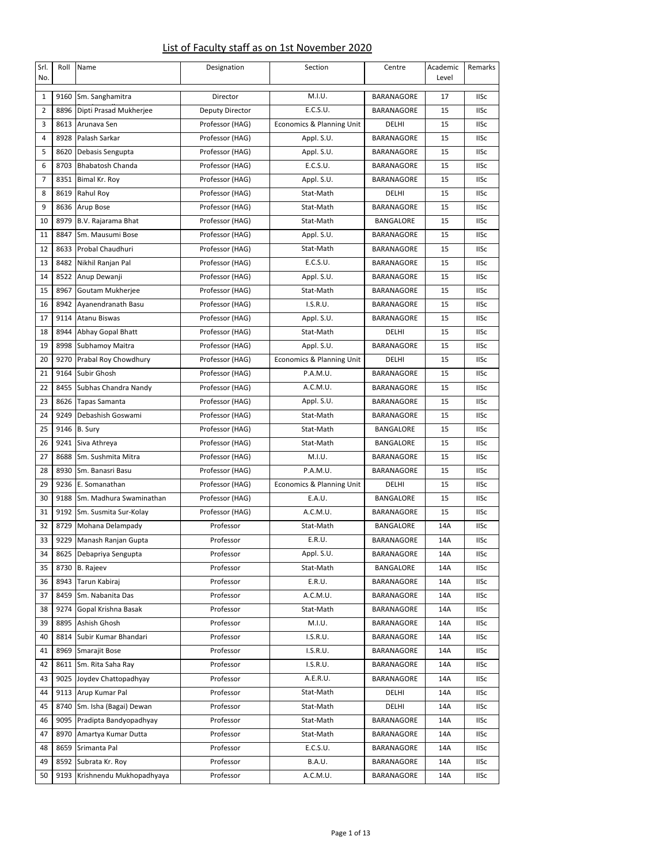## List of Faculty staff as on 1st November 2020

| Srl.<br>No.    | Roll | Name                     | Designation     | Section                   | Centre            | Academic<br>Level | Remarks     |
|----------------|------|--------------------------|-----------------|---------------------------|-------------------|-------------------|-------------|
| 1              | 9160 | Sm. Sanghamitra          | Director        | M.I.U.                    | BARANAGORE        | 17                | <b>IISc</b> |
| $\overline{2}$ | 8896 | Dipti Prasad Mukherjee   | Deputy Director | E.C.S.U.                  | BARANAGORE        | 15                | <b>IISc</b> |
| 3              | 8613 | Arunava Sen              | Professor (HAG) | Economics & Planning Unit | DELHI             | 15                | <b>IISc</b> |
| 4              | 8928 | Palash Sarkar            | Professor (HAG) | Appl. S.U.                | BARANAGORE        | 15                | <b>IISc</b> |
| 5              | 8620 | Debasis Sengupta         | Professor (HAG) | Appl. S.U.                | BARANAGORE        | 15                | <b>IISc</b> |
| 6              | 8703 | <b>Bhabatosh Chanda</b>  | Professor (HAG) | E.C.S.U.                  | BARANAGORE        | 15                | <b>IISc</b> |
| 7              | 8351 | Bimal Kr. Roy            | Professor (HAG) | Appl. S.U.                | BARANAGORE        | 15                | <b>IISc</b> |
| 8              | 8619 | Rahul Roy                | Professor (HAG) | Stat-Math                 | DELHI             | 15                | <b>IISc</b> |
| 9              | 8636 | Arup Bose                | Professor (HAG) | Stat-Math                 | BARANAGORE        | 15                | <b>IISc</b> |
| 10             | 8979 | B.V. Rajarama Bhat       | Professor (HAG) | Stat-Math                 | BANGALORE         | 15                | <b>IISc</b> |
| 11             | 8847 | Sm. Mausumi Bose         | Professor (HAG) | Appl. S.U.                | BARANAGORE        | 15                | <b>IISc</b> |
| 12             | 8633 | Probal Chaudhuri         | Professor (HAG) | Stat-Math                 | BARANAGORE        | 15                | <b>IISc</b> |
| 13             | 8482 | Nikhil Ranjan Pal        | Professor (HAG) | E.C.S.U.                  | BARANAGORE        | 15                | <b>IISc</b> |
| 14             | 8522 | Anup Dewanji             | Professor (HAG) | Appl. S.U.                | BARANAGORE        | 15                | <b>IISc</b> |
| 15             | 8967 | Goutam Mukherjee         | Professor (HAG) | Stat-Math                 | <b>BARANAGORE</b> | 15                | <b>IISc</b> |
| 16             | 8942 | Ayanendranath Basu       | Professor (HAG) | I.S.R.U.                  | BARANAGORE        | 15                | <b>IISc</b> |
| 17             | 9114 | <b>Atanu Biswas</b>      | Professor (HAG) | Appl. S.U.                | BARANAGORE        | 15                | <b>IISc</b> |
| 18             | 8944 | Abhay Gopal Bhatt        | Professor (HAG) | Stat-Math                 | DELHI             | 15                | <b>IISc</b> |
| 19             | 8998 | Subhamoy Maitra          | Professor (HAG) | Appl. S.U.                | <b>BARANAGORE</b> | 15                | <b>IISc</b> |
| 20             | 9270 | Prabal Roy Chowdhury     | Professor (HAG) | Economics & Planning Unit | DELHI             | 15                | <b>IISc</b> |
| 21             | 9164 | <b>Subir Ghosh</b>       | Professor (HAG) | P.A.M.U.                  | BARANAGORE        | 15                | <b>IISc</b> |
| 22             | 8455 | Subhas Chandra Nandy     | Professor (HAG) | A.C.M.U.                  | BARANAGORE        | 15                | <b>IISc</b> |
| 23             | 8626 | <b>Tapas Samanta</b>     | Professor (HAG) | Appl. S.U.                | BARANAGORE        | 15                | <b>IISc</b> |
| 24             | 9249 | Debashish Goswami        | Professor (HAG) | Stat-Math                 | BARANAGORE        | 15                | <b>IISc</b> |
| 25             | 9146 | B. Sury                  | Professor (HAG) | Stat-Math                 | BANGALORE         | 15                | <b>IISc</b> |
| 26             | 9241 | Siva Athreya             | Professor (HAG) | Stat-Math                 | <b>BANGALORE</b>  | 15                | <b>IISc</b> |
| 27             | 8688 | Sm. Sushmita Mitra       | Professor (HAG) | M.I.U.                    | BARANAGORE        | 15                | <b>IISc</b> |
| 28             | 8930 | Sm. Banasri Basu         | Professor (HAG) | P.A.M.U.                  | BARANAGORE        | 15                | <b>IISc</b> |
| 29             | 9236 | E. Somanathan            | Professor (HAG) | Economics & Planning Unit | DELHI             | 15                | <b>IISc</b> |
| 30             | 9188 | Sm. Madhura Swaminathan  | Professor (HAG) | E.A.U.                    | <b>BANGALORE</b>  | 15                | <b>IISc</b> |
| 31             | 9192 | Sm. Susmita Sur-Kolay    | Professor (HAG) | A.C.M.U.                  | BARANAGORE        | 15                | <b>IISc</b> |
| 32             | 8729 | Mohana Delampady         | Professor       | Stat-Math                 | BANGALORE         | 14A               | <b>IISc</b> |
| 33             | 9229 | Manash Ranjan Gupta      | Professor       | E.R.U.                    | BARANAGORE        | 14A               | <b>IISc</b> |
| 34             | 8625 | Debapriya Sengupta       | Professor       | Appl. S.U.                | BARANAGORE        | 14A               | <b>IISc</b> |
| 35             | 8730 | <b>B.</b> Rajeev         | Professor       | Stat-Math                 | BANGALORE         | 14A               | <b>IISc</b> |
| 36             | 8943 | Tarun Kabiraj            | Professor       | E.R.U.                    | <b>BARANAGORE</b> | 14A               | <b>IISc</b> |
| 37             | 8459 | Sm. Nabanita Das         | Professor       | A.C.M.U.                  | BARANAGORE        | 14A               | <b>IISc</b> |
| 38             | 9274 | Gopal Krishna Basak      | Professor       | Stat-Math                 | BARANAGORE        | 14A               | <b>IISc</b> |
| 39             | 8895 | Ashish Ghosh             | Professor       | M.I.U.                    | BARANAGORE        | 14A               | <b>IISc</b> |
| 40             | 8814 | Subir Kumar Bhandari     | Professor       | I.S.R.U.                  | BARANAGORE        | 14A               | <b>IISc</b> |
| 41             | 8969 | Smarajit Bose            | Professor       | I.S.R.U.                  | BARANAGORE        | 14A               | <b>IISc</b> |
| 42             | 8611 | Sm. Rita Saha Ray        | Professor       | I.S.R.U.                  | BARANAGORE        | 14A               | <b>IISc</b> |
| 43             | 9025 | Joydev Chattopadhyay     | Professor       | A.E.R.U.                  | BARANAGORE        | 14A               | <b>IISc</b> |
| 44             | 9113 | Arup Kumar Pal           | Professor       | Stat-Math                 | DELHI             | 14A               | <b>IISc</b> |
| 45             | 8740 | Sm. Isha (Bagai) Dewan   | Professor       | Stat-Math                 | DELHI             | 14A               | <b>IISc</b> |
| 46             | 9095 | Pradipta Bandyopadhyay   | Professor       | Stat-Math                 | BARANAGORE        | 14A               | <b>IISc</b> |
| 47             | 8970 | Amartya Kumar Dutta      | Professor       | Stat-Math                 | BARANAGORE        | 14A               | <b>IISc</b> |
| 48             | 8659 | Srimanta Pal             | Professor       | E.C.S.U.                  | BARANAGORE        | 14A               | <b>IISc</b> |
| 49             | 8592 | Subrata Kr. Roy          | Professor       | B.A.U.                    | BARANAGORE        | 14A               | <b>IISc</b> |
| 50             | 9193 | Krishnendu Mukhopadhyaya | Professor       | A.C.M.U.                  | BARANAGORE        | 14A               | <b>IISc</b> |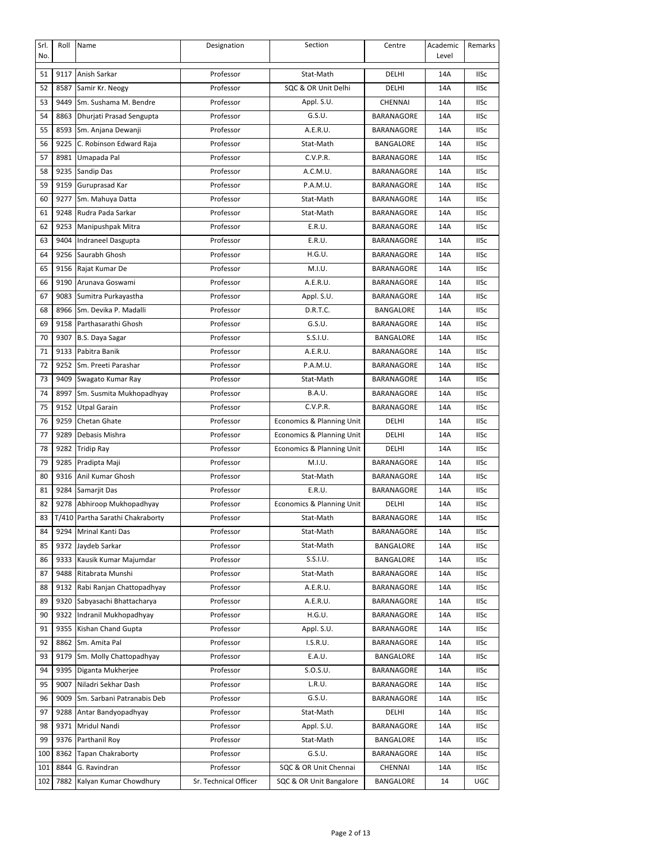| Srl.<br>No. | Roll  | Name                       | Designation           | Section                   | Centre            | Academic<br>Level | Remarks     |
|-------------|-------|----------------------------|-----------------------|---------------------------|-------------------|-------------------|-------------|
| 51          | 9117  | Anish Sarkar               | Professor             | Stat-Math                 | DELHI             | 14A               | <b>IISc</b> |
| 52          | 8587  | Samir Kr. Neogy            | Professor             | SQC & OR Unit Delhi       | DELHI             | 14A               | <b>IISc</b> |
| 53          | 9449  | Sm. Sushama M. Bendre      | Professor             | Appl. S.U.                | CHENNAI           | 14A               | <b>IISc</b> |
| 54          | 8863  | Dhurjati Prasad Sengupta   | Professor             | G.S.U.                    | BARANAGORE        | 14A               | <b>IISc</b> |
| 55          | 8593  | Sm. Anjana Dewanji         | Professor             | A.E.R.U.                  | BARANAGORE        | 14A               | <b>IISc</b> |
| 56          | 9225  | C. Robinson Edward Raja    | Professor             | Stat-Math                 | BANGALORE         | 14A               | <b>IISc</b> |
| 57          | 8981  | Umapada Pal                | Professor             | C.V.P.R.                  | BARANAGORE        | 14A               | <b>IISc</b> |
| 58          | 9235  | Sandip Das                 | Professor             | A.C.M.U.                  | BARANAGORE        | 14A               | <b>IISc</b> |
| 59          | 9159  | Guruprasad Kar             | Professor             | P.A.M.U.                  | BARANAGORE        | 14A               | <b>IISc</b> |
| 60          | 9277  | Sm. Mahuya Datta           | Professor             | Stat-Math                 | BARANAGORE        | 14A               | <b>IISc</b> |
| 61          | 9248  | Rudra Pada Sarkar          | Professor             | Stat-Math                 | BARANAGORE        | 14A               | <b>IISc</b> |
| 62          | 9253  | Manipushpak Mitra          | Professor             | E.R.U.                    | BARANAGORE        | 14A               | <b>IISc</b> |
| 63          | 9404  | Indraneel Dasgupta         | Professor             | E.R.U.                    | BARANAGORE        | 14A               | <b>IISc</b> |
| 64          | 9256  | Saurabh Ghosh              | Professor             | H.G.U.                    | BARANAGORE        | 14A               | <b>IISc</b> |
| 65          | 9156  | Rajat Kumar De             | Professor             | M.I.U.                    | BARANAGORE        | 14A               | <b>IISc</b> |
| 66          | 9190  | Arunava Goswami            | Professor             | A.E.R.U.                  | BARANAGORE        | 14A               | <b>IISc</b> |
| 67          | 9083  | Sumitra Purkayastha        | Professor             | Appl. S.U.                | BARANAGORE        | 14A               | <b>IISc</b> |
| 68          | 8966  | Sm. Devika P. Madalli      | Professor             | D.R.T.C.                  | BANGALORE         | 14A               | <b>IISc</b> |
| 69          | 9158  | Parthasarathi Ghosh        | Professor             | G.S.U.                    | <b>BARANAGORE</b> | 14A               | <b>IISc</b> |
| 70          | 9307  | B.S. Daya Sagar            | Professor             | S.S.I.U.                  | BANGALORE         | 14A               | <b>IISc</b> |
| 71          | 9133  | Pabitra Banik              | Professor             | A.E.R.U.                  | BARANAGORE        | 14A               | <b>IISc</b> |
| 72          | 9252  | Sm. Preeti Parashar        | Professor             | P.A.M.U.                  | BARANAGORE        | 14A               | <b>IISc</b> |
| 73          | 9409  | Swagato Kumar Ray          | Professor             | Stat-Math                 | BARANAGORE        | 14A               | <b>IISc</b> |
| 74          | 8997  | Sm. Susmita Mukhopadhyay   | Professor             | <b>B.A.U.</b>             | BARANAGORE        | 14A               | <b>IISc</b> |
| 75          | 9152  | <b>Utpal Garain</b>        | Professor             | C.V.P.R.                  | BARANAGORE        | 14A               | <b>IISc</b> |
| 76          | 9259  | Chetan Ghate               | Professor             | Economics & Planning Unit | DELHI             | 14A               | <b>IISc</b> |
| 77          | 9289  | Debasis Mishra             | Professor             | Economics & Planning Unit | DELHI             | 14A               | <b>IISc</b> |
| 78          | 9282  | <b>Tridip Ray</b>          | Professor             | Economics & Planning Unit | DELHI             | 14A               | <b>IISc</b> |
| 79          | 9285  | Pradipta Maji              | Professor             | M.I.U.                    | BARANAGORE        | 14A               | <b>IISc</b> |
| 80          | 9316  | Anil Kumar Ghosh           | Professor             | Stat-Math                 | BARANAGORE        | 14A               | <b>IISc</b> |
| 81          | 9284  | Samarjit Das               | Professor             | E.R.U.                    | BARANAGORE        | 14A               | <b>IISc</b> |
| 82          | 9278  | Abhiroop Mukhopadhyay      | Professor             | Economics & Planning Unit | DELHI             | 14A               | <b>IISc</b> |
| 83          | T/410 | Partha Sarathi Chakraborty | Professor             | Stat-Math                 | BARANAGORE        | 14A               | <b>IISc</b> |
| 84          | 9294  | Mrinal Kanti Das           | Professor             | Stat-Math                 | BARANAGORE        | 14A               | <b>IISc</b> |
| 85          | 9372  | Jaydeb Sarkar              | Professor             | Stat-Math                 | BANGALORE         | 14A               | <b>IISc</b> |
| 86          | 9333  | Kausik Kumar Majumdar      | Professor             | S.S.I.U.                  | BANGALORE         | 14A               | <b>IISc</b> |
| 87          | 9488  | Ritabrata Munshi           | Professor             | Stat-Math                 | BARANAGORE        | 14A               | <b>IISc</b> |
| 88          | 9132  | Rabi Ranjan Chattopadhyay  | Professor             | A.E.R.U.                  | BARANAGORE        | 14A               | IISc        |
| 89          | 9320  | Sabyasachi Bhattacharya    | Professor             | A.E.R.U.                  | BARANAGORE        | 14A               | <b>IISc</b> |
| 90          | 9322  | Indranil Mukhopadhyay      | Professor             | H.G.U.                    | BARANAGORE        | 14A               | <b>IISc</b> |
| 91          | 9355  | Kishan Chand Gupta         | Professor             | Appl. S.U.                | BARANAGORE        | 14A               | <b>IISc</b> |
| 92          | 8862  | Sm. Amita Pal              | Professor             | I.S.R.U.                  | BARANAGORE        | 14A               | <b>IISc</b> |
| 93          | 9179  | Sm. Molly Chattopadhyay    | Professor             | E.A.U.                    | BANGALORE         | 14A               | <b>IISc</b> |
| 94          | 9395  | Diganta Mukherjee          | Professor             | S.0.S.U.                  | BARANAGORE        | 14A               | <b>IISc</b> |
| 95          | 9007  | Niladri Sekhar Dash        | Professor             | L.R.U.                    | BARANAGORE        | 14A               | <b>IISc</b> |
| 96          | 9009  | Sm. Sarbani Patranabis Deb | Professor             | G.S.U.                    | BARANAGORE        | 14A               | IISc        |
| 97          | 9288  | Antar Bandyopadhyay        | Professor             | Stat-Math                 | DELHI             | 14A               | <b>IISc</b> |
| 98          | 9371  | Mridul Nandi               | Professor             | Appl. S.U.                | BARANAGORE        | 14A               | <b>IISc</b> |
| 99          | 9376  | Parthanil Roy              | Professor             | Stat-Math                 | BANGALORE         | 14A               | <b>IISc</b> |
| 100         | 8362  | <b>Tapan Chakraborty</b>   | Professor             | G.S.U.                    | BARANAGORE        | 14A               | <b>IISc</b> |
| 101         | 8844  | G. Ravindran               | Professor             | SQC & OR Unit Chennai     | CHENNAI           | 14A               | <b>IISc</b> |
| 102         | 7882  | Kalyan Kumar Chowdhury     | Sr. Technical Officer | SQC & OR Unit Bangalore   | BANGALORE         | 14                | <b>UGC</b>  |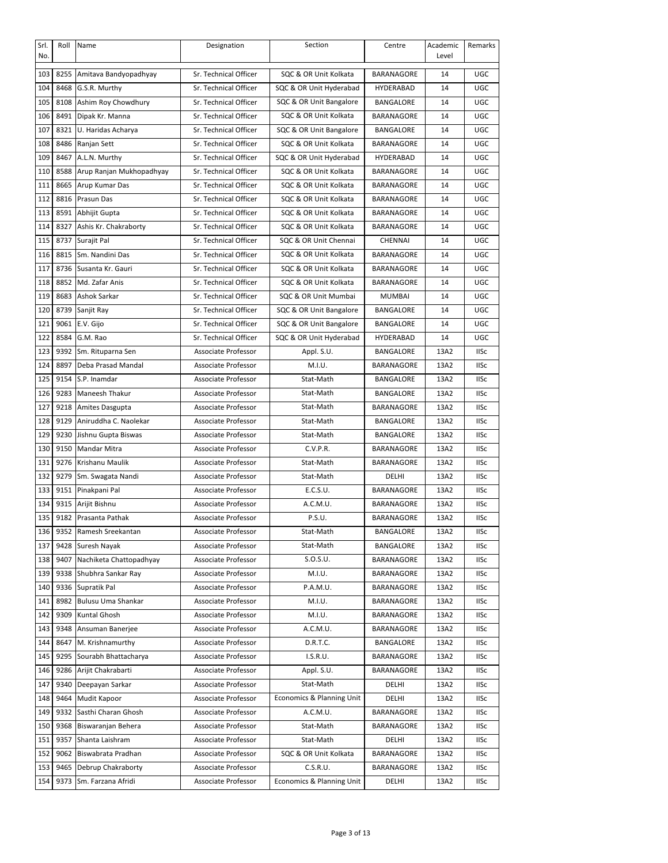| Srl.<br>No. | Roll | Name                       | Designation           | Section                   | Centre           | Academic<br>Level | Remarks     |
|-------------|------|----------------------------|-----------------------|---------------------------|------------------|-------------------|-------------|
| 103         |      | 8255 Amitava Bandyopadhyay | Sr. Technical Officer | SQC & OR Unit Kolkata     | BARANAGORE       | 14                | <b>UGC</b>  |
| 104         | 8468 | G.S.R. Murthy              | Sr. Technical Officer | SQC & OR Unit Hyderabad   | HYDERABAD        | 14                | UGC         |
| 105         | 8108 | Ashim Roy Chowdhury        | Sr. Technical Officer | SQC & OR Unit Bangalore   | BANGALORE        | 14                | <b>UGC</b>  |
| 106         | 8491 | Dipak Kr. Manna            | Sr. Technical Officer | SQC & OR Unit Kolkata     | BARANAGORE       | 14                | <b>UGC</b>  |
| 107         | 8321 | U. Haridas Acharya         | Sr. Technical Officer | SQC & OR Unit Bangalore   | BANGALORE        | 14                | <b>UGC</b>  |
| 108         | 8486 | Ranjan Sett                | Sr. Technical Officer | SQC & OR Unit Kolkata     | BARANAGORE       | 14                | <b>UGC</b>  |
| 109         | 8467 | A.L.N. Murthy              | Sr. Technical Officer | SQC & OR Unit Hyderabad   | HYDERABAD        | 14                | <b>UGC</b>  |
| 110         | 8588 | Arup Ranjan Mukhopadhyay   | Sr. Technical Officer | SQC & OR Unit Kolkata     | BARANAGORE       | 14                | <b>UGC</b>  |
| 111         | 8665 | Arup Kumar Das             | Sr. Technical Officer | SQC & OR Unit Kolkata     | BARANAGORE       | 14                | <b>UGC</b>  |
| 112         | 8816 | Prasun Das                 | Sr. Technical Officer | SQC & OR Unit Kolkata     | BARANAGORE       | 14                | <b>UGC</b>  |
| 113         |      | 8591 Abhijit Gupta         | Sr. Technical Officer | SQC & OR Unit Kolkata     | BARANAGORE       | 14                | <b>UGC</b>  |
| 114         | 8327 | Ashis Kr. Chakraborty      | Sr. Technical Officer | SQC & OR Unit Kolkata     | BARANAGORE       | 14                | <b>UGC</b>  |
| 115         | 8737 | Surajit Pal                | Sr. Technical Officer | SQC & OR Unit Chennai     | CHENNAI          | 14                | <b>UGC</b>  |
| 116         |      | 8815 Sm. Nandini Das       | Sr. Technical Officer | SQC & OR Unit Kolkata     | BARANAGORE       | 14                | <b>UGC</b>  |
| 117         | 8736 | Susanta Kr. Gauri          | Sr. Technical Officer | SQC & OR Unit Kolkata     | BARANAGORE       | 14                | UGC         |
| 118         | 8852 | Md. Zafar Anis             | Sr. Technical Officer | SQC & OR Unit Kolkata     | BARANAGORE       | 14                | <b>UGC</b>  |
| 119         | 8683 | Ashok Sarkar               | Sr. Technical Officer | SQC & OR Unit Mumbai      | <b>MUMBAI</b>    | 14                | UGC         |
| 120         | 8739 | Sanjit Ray                 | Sr. Technical Officer | SQC & OR Unit Bangalore   | BANGALORE        | 14                | <b>UGC</b>  |
| 121         | 9061 | E.V. Gijo                  | Sr. Technical Officer | SQC & OR Unit Bangalore   | <b>BANGALORE</b> | 14                | <b>UGC</b>  |
| 122         | 8584 | G.M. Rao                   | Sr. Technical Officer | SQC & OR Unit Hyderabad   | HYDERABAD        | 14                | <b>UGC</b>  |
| 123         | 9392 | Sm. Rituparna Sen          | Associate Professor   | Appl. S.U.                | BANGALORE        | 13A2              | <b>IISc</b> |
| 124         | 8897 | Deba Prasad Mandal         | Associate Professor   | M.I.U.                    | BARANAGORE       | 13A2              | <b>IISc</b> |
| 125         | 9154 | S.P. Inamdar               | Associate Professor   | Stat-Math                 | BANGALORE        | 13A2              | <b>IISc</b> |
| 126         | 9283 | Maneesh Thakur             | Associate Professor   | Stat-Math                 | BANGALORE        | 13A2              | <b>IISc</b> |
| 127         | 9218 | Amites Dasgupta            | Associate Professor   | Stat-Math                 | BARANAGORE       | 13A2              | <b>IISc</b> |
| 128         | 9129 | Aniruddha C. Naolekar      | Associate Professor   | Stat-Math                 | BANGALORE        | 13A2              | <b>IISc</b> |
| 129         | 9230 | Jishnu Gupta Biswas        | Associate Professor   | Stat-Math                 | BANGALORE        | 13A2              | <b>IISc</b> |
| 130         | 9150 | <b>Mandar Mitra</b>        | Associate Professor   | C.V.P.R.                  | BARANAGORE       | 13A2              | <b>IISc</b> |
| 131         | 9276 | Krishanu Maulik            | Associate Professor   | Stat-Math                 | BARANAGORE       | 13A2              | <b>IISc</b> |
| 132         | 9279 | Sm. Swagata Nandi          | Associate Professor   | Stat-Math                 | DELHI            | 13A2              | <b>IISc</b> |
| 133         | 9151 | Pinakpani Pal              | Associate Professor   | E.C.S.U.                  | BARANAGORE       | 13A2              | <b>IISc</b> |
| 134         | 9315 | Arijit Bishnu              | Associate Professor   | A.C.M.U.                  | BARANAGORE       | 13A2              | <b>IISc</b> |
| 135         | 9182 | Prasanta Pathak            | Associate Professor   | P.S.U.                    | BARANAGORE       | 13A2              | <b>IISc</b> |
| 136         |      | 9352 Ramesh Sreekantan     | Associate Professor   | Stat-Math                 | BANGALORE        | 13A2              | <b>IISc</b> |
| 137         | 9428 | Suresh Nayak               | Associate Professor   | Stat-Math                 | BANGALORE        | 13A2              | <b>IISc</b> |
| 138         | 9407 | Nachiketa Chattopadhyay    | Associate Professor   | S.O.S.U.                  | BARANAGORE       | 13A2              | <b>IISc</b> |
| 139         | 9338 | Shubhra Sankar Ray         | Associate Professor   | M.I.U.                    | BARANAGORE       | 13A2              | <b>IISc</b> |
| 140         |      | 9336 Supratik Pal          | Associate Professor   | P.A.M.U.                  | BARANAGORE       | 13A2              | IISc        |
| 141         | 8982 | Bulusu Uma Shankar         | Associate Professor   | M.I.U.                    | BARANAGORE       | 13A2              | IISc        |
| 142         | 9309 | Kuntal Ghosh               | Associate Professor   | M.I.U.                    | BARANAGORE       | 13A2              | <b>IISc</b> |
| 143         | 9348 | Ansuman Banerjee           | Associate Professor   | A.C.M.U.                  | BARANAGORE       | 13A2              | <b>IISc</b> |
| 144         | 8647 | M. Krishnamurthy           | Associate Professor   | D.R.T.C.                  | BANGALORE        | 13A2              | <b>IISc</b> |
| 145         | 9295 | Sourabh Bhattacharya       | Associate Professor   | I.S.R.U.                  | BARANAGORE       | 13A2              | <b>IISc</b> |
| 146         | 9286 | Arijit Chakrabarti         | Associate Professor   | Appl. S.U.                | BARANAGORE       | 13A2              | IISc        |
| 147         | 9340 | Deepayan Sarkar            | Associate Professor   | Stat-Math                 | DELHI            | 13A2              | IISc        |
| 148         | 9464 | Mudit Kapoor               | Associate Professor   | Economics & Planning Unit | DELHI            | 13A2              | <b>IISc</b> |
| 149         | 9332 | Sasthi Charan Ghosh        | Associate Professor   | A.C.M.U.                  | BARANAGORE       | 13A2              | <b>IISc</b> |
| 150         | 9368 | Biswaranjan Behera         | Associate Professor   | Stat-Math                 | BARANAGORE       | 13A2              | <b>IISc</b> |
| 151         | 9357 | Shanta Laishram            | Associate Professor   | Stat-Math                 | DELHI            | 13A2              | <b>IISc</b> |
| 152         | 9062 | Biswabrata Pradhan         | Associate Professor   | SQC & OR Unit Kolkata     | BARANAGORE       | 13A2              | <b>IISc</b> |
| 153         | 9465 | Debrup Chakraborty         | Associate Professor   | C.S.R.U.                  | BARANAGORE       | 13A2              | <b>IISc</b> |
| 154         | 9373 | Sm. Farzana Afridi         | Associate Professor   | Economics & Planning Unit | DELHI            | 13A2              | <b>IISc</b> |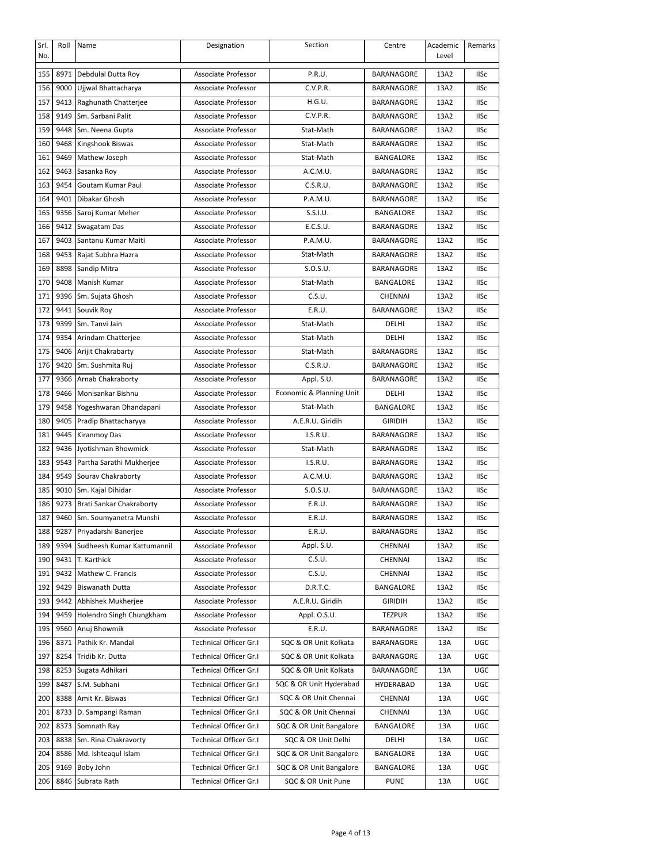| Srl.<br>No. | Roll | Name                       | Designation                   | Section                  | Centre            | Academic<br>Level | Remarks     |
|-------------|------|----------------------------|-------------------------------|--------------------------|-------------------|-------------------|-------------|
| 155         |      | 8971 Debdulal Dutta Roy    | Associate Professor           | P.R.U.                   | BARANAGORE        | 13A2              | <b>IISc</b> |
| 156         | 9000 | Ujjwal Bhattacharya        | Associate Professor           | C.V.P.R.                 | BARANAGORE        | 13A2              | <b>IISc</b> |
| 157         | 9413 | Raghunath Chatterjee       | Associate Professor           | H.G.U.                   | BARANAGORE        | 13A2              | <b>IISc</b> |
| 158         | 9149 | Sm. Sarbani Palit          | Associate Professor           | C.V.P.R.                 | BARANAGORE        | 13A2              | <b>IISc</b> |
| 159         | 9448 | Sm. Neena Gupta            | Associate Professor           | Stat-Math                | BARANAGORE        | 13A2              | <b>IISc</b> |
| 160         | 9468 | Kingshook Biswas           | Associate Professor           | Stat-Math                | BARANAGORE        | 13A2              | <b>IISc</b> |
| 161         | 9469 | Mathew Joseph              | Associate Professor           | Stat-Math                | BANGALORE         | 13A2              | <b>IISc</b> |
| 162         | 9463 | Sasanka Roy                | Associate Professor           | A.C.M.U.                 | BARANAGORE        | 13A2              | <b>IISc</b> |
| 163         | 9454 | Goutam Kumar Paul          | Associate Professor           | C.S.R.U.                 | BARANAGORE        | 13A2              | <b>IISc</b> |
| 164         | 9401 | Dibakar Ghosh              | Associate Professor           | P.A.M.U.                 | BARANAGORE        | 13A2              | <b>IISc</b> |
| 165         | 9356 | Saroj Kumar Meher          | Associate Professor           | S.S.I.U.                 | BANGALORE         | 13A2              | <b>IISc</b> |
| 166         | 9412 | Swagatam Das               | Associate Professor           | E.C.S.U.                 | BARANAGORE        | 13A2              | <b>IISc</b> |
| 167         | 9403 | Santanu Kumar Maiti        | Associate Professor           | P.A.M.U.                 | BARANAGORE        | 13A2              | <b>IISc</b> |
| 168         | 9453 | Rajat Subhra Hazra         | Associate Professor           | Stat-Math                | BARANAGORE        | 13A2              | <b>IISc</b> |
| 169         | 8898 | Sandip Mitra               | Associate Professor           | S.O.S.U.                 | BARANAGORE        | 13A2              | <b>IISc</b> |
| 170         | 9408 | Manish Kumar               | Associate Professor           | Stat-Math                | BANGALORE         | 13A2              | <b>IISc</b> |
| 171         | 9396 | Sm. Sujata Ghosh           | <b>Associate Professor</b>    | C.S.U.                   | CHENNAI           | 13A2              | <b>IISc</b> |
| 172         | 9441 | Souvik Roy                 | <b>Associate Professor</b>    | E.R.U.                   | <b>BARANAGORE</b> | 13A2              | <b>IISc</b> |
| 173         | 9399 | Sm. Tanvi Jain             | Associate Professor           | Stat-Math                | DELHI             | 13A2              | <b>IISc</b> |
| 174         | 9354 | Arindam Chatterjee         | Associate Professor           | Stat-Math                | DELHI             | 13A2              | <b>IISc</b> |
| 175         | 9406 | Arijit Chakrabarty         | Associate Professor           | Stat-Math                | BARANAGORE        | 13A2              | <b>IISc</b> |
| 176         | 9420 | Sm. Sushmita Ruj           | Associate Professor           | C.S.R.U.                 | BARANAGORE        | 13A2              | <b>IISc</b> |
| 177         | 9366 | Arnab Chakraborty          | Associate Professor           | Appl. S.U.               | BARANAGORE        | 13A2              | <b>IISc</b> |
| 178         | 9466 | Monisankar Bishnu          | Associate Professor           | Economic & Planning Unit | DELHI             | 13A2              | <b>IISc</b> |
| 179         | 9458 | Yogeshwaran Dhandapani     | Associate Professor           | Stat-Math                | BANGALORE         | 13A2              | <b>IISc</b> |
| 180         | 9405 | Pradip Bhattacharyya       | Associate Professor           | A.E.R.U. Giridih         | <b>GIRIDIH</b>    | 13A2              | <b>IISc</b> |
| 181         | 9445 | <b>Kiranmoy Das</b>        | Associate Professor           | I.S.R.U.                 | BARANAGORE        | 13A2              | <b>IISc</b> |
| 182         | 9436 | Jyotishman Bhowmick        | Associate Professor           | Stat-Math                | BARANAGORE        | 13A2              | <b>IISc</b> |
| 183         | 9543 | Partha Sarathi Mukherjee   | Associate Professor           | I.S.R.U.                 | BARANAGORE        | 13A2              | <b>IISc</b> |
| 184         | 9549 | Sourav Chakraborty         | Associate Professor           | A.C.M.U.                 | BARANAGORE        | 13A2              | <b>IISc</b> |
| 185         | 9010 | Sm. Kajal Dihidar          | Associate Professor           | S.O.S.U.                 | BARANAGORE        | 13A2              | <b>IISc</b> |
| 186         | 9273 | Brati Sankar Chakraborty   | Associate Professor           | E.R.U.                   | BARANAGORE        | 13A2              | <b>IISc</b> |
| 187         | 9460 | Sm. Soumyanetra Munshi     | Associate Professor           | E.R.U.                   | BARANAGORE        | 13A2              | <b>IISc</b> |
| 188         |      | 9287 Priyadarshi Banerjee  | Associate Professor           | E.R.U.                   | BARANAGORE        | 13A2              | <b>IISc</b> |
| 189         | 9394 | Sudheesh Kumar Kattumannil | Associate Professor           | Appl. S.U.               | CHENNAI           | 13A2              | <b>IISc</b> |
| 190         |      | 9431 T. Karthick           | Associate Professor           | C.S.U.                   | CHENNAI           | 13A2              | <b>IISc</b> |
| 191         | 9432 | Mathew C. Francis          | Associate Professor           | C.S.U.                   | CHENNAI           | 13A2              | <b>IISc</b> |
| 192         | 9429 | <b>Biswanath Dutta</b>     | Associate Professor           | D.R.T.C.                 | BANGALORE         | 13A2              | <b>IISc</b> |
| 193         | 9442 | Abhishek Mukherjee         | Associate Professor           | A.E.R.U. Giridih         | <b>GIRIDIH</b>    | 13A2              | <b>IISc</b> |
| 194         | 9459 | Holendro Singh Chungkham   | Associate Professor           | Appl. O.S.U.             | <b>TEZPUR</b>     | 13A2              | <b>IISc</b> |
| 195         | 9560 | Anuj Bhowmik               | Associate Professor           | E.R.U.                   | BARANAGORE        | 13A2              | <b>IISc</b> |
| 196         | 8371 | Pathik Kr. Mandal          | Technical Officer Gr.I        | SQC & OR Unit Kolkata    | BARANAGORE        | 13A               | UGC         |
| 197         | 8254 | Tridib Kr. Dutta           | <b>Technical Officer Gr.I</b> | SQC & OR Unit Kolkata    | BARANAGORE        | 13A               | UGC         |
| 198         | 8253 | Sugata Adhikari            | Technical Officer Gr.I        | SQC & OR Unit Kolkata    | BARANAGORE        | 13A               | <b>UGC</b>  |
| 199         | 8487 | S.M. Subhani               | Technical Officer Gr.I        | SQC & OR Unit Hyderabad  | HYDERABAD         | 13A               | <b>UGC</b>  |
| 200         | 8388 | Amit Kr. Biswas            | Technical Officer Gr.I        | SQC & OR Unit Chennai    | CHENNAI           | 13A               | UGC         |
| 201         | 8733 | D. Sampangi Raman          | Technical Officer Gr.I        | SQC & OR Unit Chennai    | CHENNAI           | 13A               | <b>UGC</b>  |
| 202         |      | 8373 Somnath Ray           | Technical Officer Gr.I        | SQC & OR Unit Bangalore  | BANGALORE         | 13A               | <b>UGC</b>  |
| 203         | 8838 | Sm. Rina Chakravorty       | Technical Officer Gr.I        | SQC & OR Unit Delhi      | DELHI             | 13A               | <b>UGC</b>  |
| 204         | 8586 | Md. Ishteaqul Islam        | Technical Officer Gr.I        | SQC & OR Unit Bangalore  | BANGALORE         | 13A               | <b>UGC</b>  |
| 205         | 9169 | Boby John                  | Technical Officer Gr.I        | SQC & OR Unit Bangalore  | BANGALORE         | 13A               | UGC         |
| 206         | 8846 | Subrata Rath               | Technical Officer Gr.I        | SQC & OR Unit Pune       | <b>PUNE</b>       | 13A               | <b>UGC</b>  |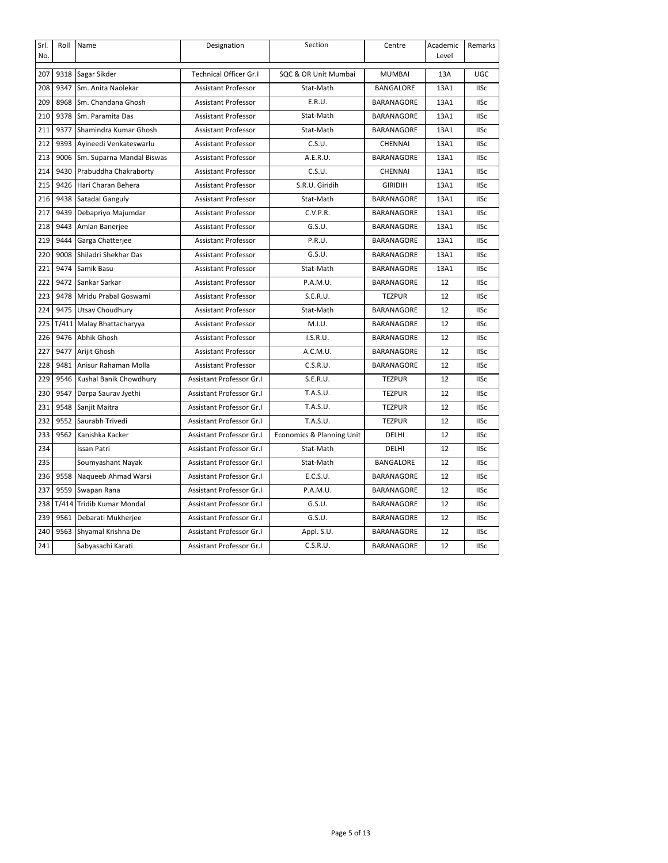| Srl. | Roll  | Name                      | Designation                   | Section                   | Centre            | Academic | Remarks     |
|------|-------|---------------------------|-------------------------------|---------------------------|-------------------|----------|-------------|
| No.  |       |                           |                               |                           |                   | Level    |             |
| 207  | 9318  | Sagar Sikder              | <b>Technical Officer Gr.I</b> | SQC & OR Unit Mumbai      | <b>MUMBAI</b>     | 13A      | UGC         |
| 208  | 9347  | Sm. Anita Naolekar        | <b>Assistant Professor</b>    | Stat-Math                 | <b>BANGALORE</b>  | 13A1     | <b>IISc</b> |
| 209  | 8968  | Sm. Chandana Ghosh        | <b>Assistant Professor</b>    | E.R.U.                    | <b>BARANAGORE</b> | 13A1     | <b>IISc</b> |
| 210  | 9378  | Sm. Paramita Das          | <b>Assistant Professor</b>    | Stat-Math                 | <b>BARANAGORE</b> | 13A1     | <b>IISc</b> |
| 211  | 9377  | Shamindra Kumar Ghosh     | <b>Assistant Professor</b>    | Stat-Math                 | <b>BARANAGORE</b> | 13A1     | <b>IISc</b> |
| 212  | 9393  | Ayineedi Venkateswarlu    | <b>Assistant Professor</b>    | C.S.U.                    | <b>CHENNAI</b>    | 13A1     | <b>IISc</b> |
| 213  | 9006  | Sm. Suparna Mandal Biswas | <b>Assistant Professor</b>    | A.E.R.U.                  | <b>BARANAGORE</b> | 13A1     | <b>IISc</b> |
| 214  | 9430  | Prabuddha Chakraborty     | <b>Assistant Professor</b>    | C.S.U.                    | <b>CHENNAI</b>    | 13A1     | <b>IISc</b> |
| 215  | 9426  | Hari Charan Behera        | <b>Assistant Professor</b>    | S.R.U. Giridih            | <b>GIRIDIH</b>    | 13A1     | <b>IISc</b> |
| 216  | 9438  | Satadal Ganguly           | <b>Assistant Professor</b>    | Stat-Math                 | <b>BARANAGORE</b> | 13A1     | <b>IISc</b> |
| 217  | 9439  | Debapriyo Majumdar        | <b>Assistant Professor</b>    | C.V.P.R.                  | <b>BARANAGORE</b> | 13A1     | <b>IISc</b> |
| 218  | 9443  | Amlan Banerjee            | <b>Assistant Professor</b>    | G.S.U.                    | <b>BARANAGORE</b> | 13A1     | <b>IISc</b> |
| 219  | 9444  | Garga Chatterjee          | <b>Assistant Professor</b>    | P.R.U.                    | <b>BARANAGORE</b> | 13A1     | <b>IISc</b> |
| 220  | 9008  | Shiladri Shekhar Das      | <b>Assistant Professor</b>    | G.S.U.                    | BARANAGORE        | 13A1     | <b>IISc</b> |
| 221  | 9474  | Samik Basu                | <b>Assistant Professor</b>    | Stat-Math                 | <b>BARANAGORE</b> | 13A1     | <b>IISc</b> |
| 222  | 9472  | Sankar Sarkar             | <b>Assistant Professor</b>    | P.A.M.U.                  | BARANAGORE        | 12       | <b>IISc</b> |
| 223  | 9478  | Mridu Prabal Goswami      | <b>Assistant Professor</b>    | S.E.R.U.                  | <b>TEZPUR</b>     | 12       | <b>IISc</b> |
| 224  | 9475  | Utsav Choudhury           | <b>Assistant Professor</b>    | Stat-Math                 | BARANAGORE        | 12       | <b>IISc</b> |
| 225  | T/411 | Malay Bhattacharyya       | <b>Assistant Professor</b>    | M.I.U.                    | BARANAGORE        | 12       | <b>IISc</b> |
| 226  | 9476  | Abhik Ghosh               | <b>Assistant Professor</b>    | I.S.R.U.                  | BARANAGORE        | 12       | <b>IISc</b> |
| 227  | 9477  | Arijit Ghosh              | <b>Assistant Professor</b>    | A.C.M.U.                  | BARANAGORE        | 12       | <b>IISc</b> |
| 228  | 9481  | Anisur Rahaman Molla      | <b>Assistant Professor</b>    | C.S.R.U.                  | BARANAGORE        | 12       | <b>IISc</b> |
| 229  | 9546  | Kushal Banik Chowdhury    | Assistant Professor Gr.I      | S.E.R.U.                  | <b>TEZPUR</b>     | 12       | <b>IISc</b> |
| 230  | 9547  | Darpa Saurav Jyethi       | Assistant Professor Gr.I      | T.A.S.U.                  | <b>TEZPUR</b>     | 12       | <b>IISc</b> |
| 231  | 9548  | Sanjit Maitra             | Assistant Professor Gr.I      | T.A.S.U.                  | <b>TEZPUR</b>     | 12       | <b>IISc</b> |
| 232  | 9552  | Saurabh Trivedi           | Assistant Professor Gr.I      | T.A.S.U.                  | <b>TEZPUR</b>     | 12       | <b>IISc</b> |
| 233  | 9562  | Kanishka Kacker           | Assistant Professor Gr.I      | Economics & Planning Unit | DELHI             | 12       | <b>IISc</b> |
| 234  |       | <b>Issan Patri</b>        | Assistant Professor Gr.I      | Stat-Math                 | DELHI             | 12       | <b>IISc</b> |
| 235  |       | Soumyashant Nayak         | Assistant Professor Gr.I      | Stat-Math                 | <b>BANGALORE</b>  | 12       | <b>IISc</b> |
| 236  | 9558  | Naqueeb Ahmad Warsi       | Assistant Professor Gr.I      | E.C.S.U.                  | BARANAGORE        | 12       | <b>IISc</b> |
| 237  | 9559  | Swapan Rana               | Assistant Professor Gr.I      | P.A.M.U.                  | BARANAGORE        | 12       | <b>IISc</b> |
| 238  | T/414 | Tridib Kumar Mondal       | Assistant Professor Gr.I      | G.S.U.                    | BARANAGORE        | 12       | <b>IISc</b> |
| 239  | 9561  | Debarati Mukherjee        | Assistant Professor Gr.I      | G.S.U.                    | BARANAGORE        | 12       | <b>IISc</b> |
| 240  | 9563  | Shyamal Krishna De        | Assistant Professor Gr.I      | Appl. S.U.                | BARANAGORE        | 12       | <b>IISc</b> |
| 241  |       | Sabyasachi Karati         | Assistant Professor Gr.I      | C.S.R.U.                  | BARANAGORE        | 12       | <b>IISc</b> |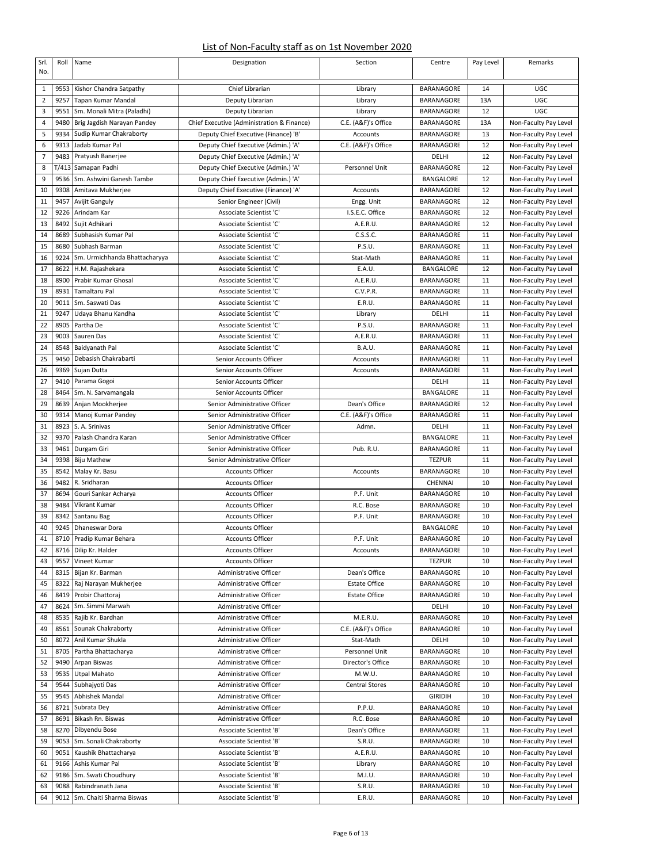## List of Non-Faculty staff as on 1st November 2020

| Srl.<br>No.    | Roll  | Name                          | Designation                                        | Section               | Centre            | Pay Level | Remarks               |
|----------------|-------|-------------------------------|----------------------------------------------------|-----------------------|-------------------|-----------|-----------------------|
|                |       |                               |                                                    |                       |                   |           |                       |
| $\mathbf{1}$   |       | 9553 Kishor Chandra Satpathy  | Chief Librarian                                    | Library               | <b>BARANAGORE</b> | 14        | UGC                   |
| 2              | 9257  | Tapan Kumar Mandal            | Deputy Librarian                                   | Library               | BARANAGORE        | 13A       | UGC                   |
| 3              | 9551  | Sm. Monali Mitra (Paladhi)    | Deputy Librarian                                   | Library               | BARANAGORE        | 12        | UGC                   |
| 4              | 9480  | Brig Jagdish Narayan Pandey   | Chief Executive (Administration & Finance)         | C.E. (A&F)'s Office   | <b>BARANAGORE</b> | 13A       | Non-Faculty Pay Level |
| 5              |       | 9334 Sudip Kumar Chakraborty  | Deputy Chief Executive (Finance) 'B'               | Accounts              | <b>BARANAGORE</b> | 13        | Non-Faculty Pay Level |
| 6              | 9313  | Jadab Kumar Pal               | Deputy Chief Executive (Admin.) 'A'                | C.E. (A&F)'s Office   | BARANAGORE        | 12        | Non-Faculty Pay Level |
| $\overline{7}$ | 9483  | Pratyush Banerjee             | Deputy Chief Executive (Admin.) 'A'                |                       | DELHI             | 12        | Non-Faculty Pay Level |
| 8              | T/413 | Samapan Padhi                 | Deputy Chief Executive (Admin.) 'A'                | Personnel Unit        | BARANAGORE        | 12        | Non-Faculty Pay Level |
| 9              | 9536  | Sm. Ashwini Ganesh Tambe      | Deputy Chief Executive (Admin.) 'A'                |                       | BANGALORE         | 12        | Non-Faculty Pay Level |
| 10             | 9308  | Amitava Mukherjee             | Deputy Chief Executive (Finance) 'A'               | Accounts              | <b>BARANAGORE</b> | 12        | Non-Faculty Pay Level |
| 11             | 9457  | Avijit Ganguly                | Senior Engineer (Civil)                            | Engg. Unit            | BARANAGORE        | 12        | Non-Faculty Pay Level |
| 12             | 9226  | Arindam Kar                   | Associate Scientist 'C'                            | I.S.E.C. Office       | <b>BARANAGORE</b> | 12        | Non-Faculty Pay Level |
| 13             | 8492  | Sujit Adhikari                | Associate Scientist 'C'                            | A.E.R.U.              | <b>BARANAGORE</b> | 12        | Non-Faculty Pay Level |
| 14             | 8689  | Subhasish Kumar Pal           | Associate Scientist 'C'                            | C.S.S.C.              | BARANAGORE        | 11        | Non-Faculty Pay Level |
| 15             | 8680  | Subhash Barman                | Associate Scientist 'C'                            | P.S.U.                | BARANAGORE        | 11        | Non-Faculty Pay Level |
| 16             | 9224  | Sm. Urmichhanda Bhattacharyya | Associate Scientist 'C'                            | Stat-Math             | BARANAGORE        | 11        | Non-Faculty Pay Level |
| 17             | 8622  | H.M. Rajashekara              | Associate Scientist 'C'                            | E.A.U.                | BANGALORE         | 12        | Non-Faculty Pay Level |
| 18             | 8900  | Prabir Kumar Ghosal           | Associate Scientist 'C'                            | A.E.R.U.              | BARANAGORE        | 11        | Non-Faculty Pay Level |
| 19             | 8931  | Tamaltaru Pal                 | Associate Scientist 'C'                            | C.V.P.R.              | <b>BARANAGORE</b> | 11        | Non-Faculty Pay Level |
| 20             | 9011  | Sm. Saswati Das               | Associate Scientist 'C'                            | E.R.U.                | BARANAGORE        | 11        | Non-Faculty Pay Level |
| 21             | 9247  | Udaya Bhanu Kandha            | Associate Scientist 'C'                            | Library               | DELHI             | 11        | Non-Faculty Pay Level |
| 22             | 8905  | Partha De                     | Associate Scientist 'C'                            | P.S.U.                | <b>BARANAGORE</b> | 11        | Non-Faculty Pay Level |
| 23             | 9003  | Sauren Das                    | Associate Scientist 'C'                            | A.E.R.U.              | BARANAGORE        | 11        | Non-Faculty Pay Level |
| 24             | 8548  | Baidyanath Pal                | Associate Scientist 'C'                            | B.A.U.                | <b>BARANAGORE</b> | 11        | Non-Faculty Pay Level |
| 25             | 9450  | Debasish Chakrabarti          | Senior Accounts Officer                            | Accounts              | BARANAGORE        | 11        | Non-Faculty Pay Level |
| 26             | 9369  | Sujan Dutta                   | Senior Accounts Officer                            | Accounts              | BARANAGORE        | 11        | Non-Faculty Pay Level |
| 27             | 9410  | Parama Gogoi                  | Senior Accounts Officer                            |                       | DELHI             | 11        | Non-Faculty Pay Level |
| 28             | 8464  | Sm. N. Sarvamangala           | Senior Accounts Officer                            |                       | BANGALORE         | 11        | Non-Faculty Pay Level |
| 29             | 8639  | Anjan Mookherjee              | Senior Administrative Officer                      | Dean's Office         | <b>BARANAGORE</b> | 12        | Non-Faculty Pay Level |
| 30             | 9314  | Manoj Kumar Pandey            | Senior Administrative Officer                      | C.E. (A&F)'s Office   | BARANAGORE        | 11        | Non-Faculty Pay Level |
| 31             | 8923  | S. A. Srinivas                | Senior Administrative Officer                      | Admn.                 | DELHI             | 11        | Non-Faculty Pay Level |
| 32             | 9370  | Palash Chandra Karan          | Senior Administrative Officer                      |                       | BANGALORE         | 11        | Non-Faculty Pay Level |
| 33             | 9461  | Durgam Giri                   | Senior Administrative Officer                      | Pub. R.U.             | <b>BARANAGORE</b> | 11        | Non-Faculty Pay Level |
| 34             | 9398  |                               | Senior Administrative Officer                      |                       | <b>TEZPUR</b>     | 11        |                       |
|                |       | <b>Biju Mathew</b>            |                                                    |                       |                   |           | Non-Faculty Pay Level |
| 35<br>36       | 8542  | Malay Kr. Basu                | <b>Accounts Officer</b><br><b>Accounts Officer</b> | <b>Accounts</b>       | BARANAGORE        | 10        | Non-Faculty Pay Level |
|                | 9482  | R. Sridharan                  |                                                    |                       | CHENNAI           | 10        | Non-Faculty Pay Level |
| 37             | 8694  | Gouri Sankar Acharya          | <b>Accounts Officer</b>                            | P.F. Unit             | BARANAGORE        | 10        | Non-Faculty Pay Level |
| 38             | 9484  | Vikrant Kumar                 | <b>Accounts Officer</b>                            | R.C. Bose             | BARANAGORE        | 10        | Non-Faculty Pay Level |
| 39             | 8342  | Santanu Bag                   | <b>Accounts Officer</b>                            | P.F. Unit             | <b>BARANAGORE</b> | 10        | Non-Faculty Pay Level |
| 40             | 9245  | Dhaneswar Dora                | <b>Accounts Officer</b>                            |                       | BANGALORE         | 10        | Non-Faculty Pay Level |
| 41             |       | 8710 Pradip Kumar Behara      | <b>Accounts Officer</b>                            | P.F. Unit             | BARANAGORE        | 10        | Non-Faculty Pay Level |
| 42             |       | 8716 Dilip Kr. Halder         | <b>Accounts Officer</b>                            | Accounts              | BARANAGORE        | 10        | Non-Faculty Pay Level |
| 43             | 9557  | Vineet Kumar                  | <b>Accounts Officer</b>                            |                       | <b>TEZPUR</b>     | 10        | Non-Faculty Pay Level |
| 44             | 8315  | Bijan Kr. Barman              | Administrative Officer                             | Dean's Office         | BARANAGORE        | 10        | Non-Faculty Pay Level |
| 45             | 8322  | Raj Narayan Mukherjee         | Administrative Officer                             | <b>Estate Office</b>  | BARANAGORE        | 10        | Non-Faculty Pay Level |
| 46             | 8419  | Probir Chattoraj              | Administrative Officer                             | <b>Estate Office</b>  | BARANAGORE        | 10        | Non-Faculty Pay Level |
| 47             | 8624  | Sm. Simmi Marwah              | Administrative Officer                             |                       | DELHI             | 10        | Non-Faculty Pay Level |
| 48             | 8535  | Rajib Kr. Bardhan             | Administrative Officer                             | M.E.R.U.              | BARANAGORE        | 10        | Non-Faculty Pay Level |
| 49             | 8561  | Sounak Chakraborty            | Administrative Officer                             | C.E. (A&F)'s Office   | BARANAGORE        | 10        | Non-Faculty Pay Level |
| 50             | 8072  | Anil Kumar Shukla             | Administrative Officer                             | Stat-Math             | DELHI             | 10        | Non-Faculty Pay Level |
| 51             | 8705  | Partha Bhattacharya           | Administrative Officer                             | Personnel Unit        | BARANAGORE        | 10        | Non-Faculty Pay Level |
| 52             | 9490  | Arpan Biswas                  | Administrative Officer                             | Director's Office     | BARANAGORE        | 10        | Non-Faculty Pay Level |
| 53             | 9535  | Utpal Mahato                  | Administrative Officer                             | M.W.U.                | BARANAGORE        | 10        | Non-Faculty Pay Level |
| 54             | 9544  | Subhajyoti Das                | Administrative Officer                             | <b>Central Stores</b> | BARANAGORE        | 10        | Non-Faculty Pay Level |
| 55             | 9545  | Abhishek Mandal               | Administrative Officer                             |                       | <b>GIRIDIH</b>    | 10        | Non-Faculty Pay Level |
| 56             | 8721  | Subrata Dey                   | Administrative Officer                             | P.P.U.                | BARANAGORE        | 10        | Non-Faculty Pay Level |
| 57             | 8691  | Bikash Rn. Biswas             | Administrative Officer                             | R.C. Bose             | BARANAGORE        | 10        | Non-Faculty Pay Level |
| 58             | 8270  | Dibyendu Bose                 | Associate Scientist 'B'                            | Dean's Office         | BARANAGORE        | 11        | Non-Faculty Pay Level |
| 59             | 9053  | Sm. Sonali Chakraborty        | Associate Scientist 'B'                            | S.R.U.                | BARANAGORE        | 10        | Non-Faculty Pay Level |
| 60             | 9051  | Kaushik Bhattacharya          | Associate Scientist 'B'                            | A.E.R.U.              | BARANAGORE        | 10        | Non-Faculty Pay Level |
| 61             | 9166  | Ashis Kumar Pal               | Associate Scientist 'B'                            | Library               | BARANAGORE        | 10        | Non-Faculty Pay Level |
| 62             | 9186  | Sm. Swati Choudhury           | Associate Scientist 'B'                            | M.I.U.                | BARANAGORE        | 10        | Non-Faculty Pay Level |
| 63             | 9088  | Rabindranath Jana             | Associate Scientist 'B'                            | S.R.U.                | BARANAGORE        | 10        | Non-Faculty Pay Level |
| 64             | 9012  | Sm. Chaiti Sharma Biswas      | Associate Scientist 'B'                            | E.R.U.                | BARANAGORE        | 10        | Non-Faculty Pay Level |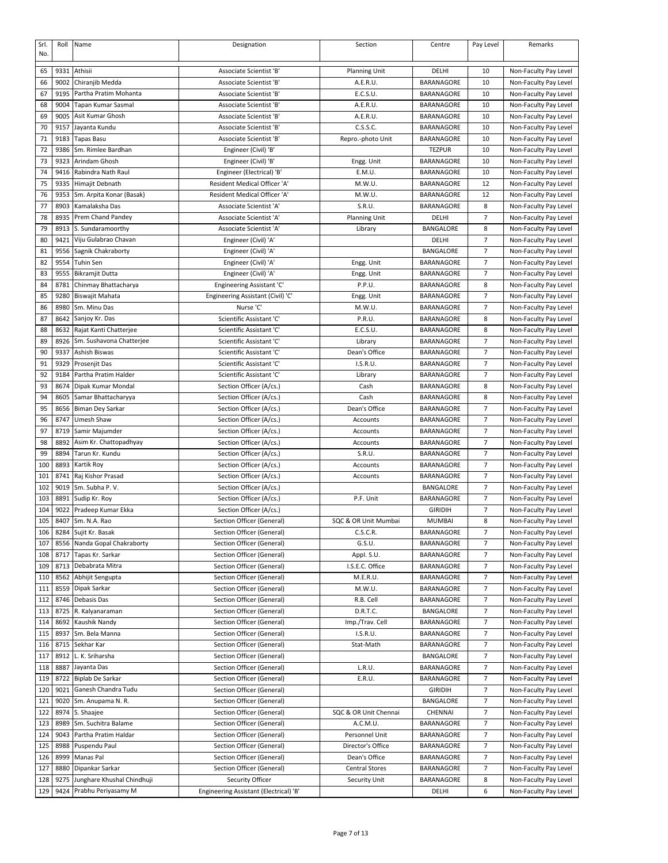| Srl.<br>No. | Roll         | Name                                      | Designation                                            | Section                     | Centre                   | Pay Level           | Remarks                                        |
|-------------|--------------|-------------------------------------------|--------------------------------------------------------|-----------------------------|--------------------------|---------------------|------------------------------------------------|
| 65          | 9331         | Athisii                                   | Associate Scientist 'B'                                | <b>Planning Unit</b>        | DELHI                    | 10                  | Non-Faculty Pay Level                          |
| 66          | 9002         | Chiranjib Medda                           | Associate Scientist 'B'                                | A.E.R.U.                    | BARANAGORE               | 10                  | Non-Faculty Pay Level                          |
| 67          | 9195         | Partha Pratim Mohanta                     | Associate Scientist 'B'                                | E.C.S.U.                    | BARANAGORE               | 10                  | Non-Faculty Pay Level                          |
| 68          | 9004         | Tapan Kumar Sasmal                        | Associate Scientist 'B'                                | A.E.R.U.                    | BARANAGORE               | 10                  | Non-Faculty Pay Level                          |
| 69          | 9005         | Asit Kumar Ghosh                          | Associate Scientist 'B'                                | A.E.R.U.                    | BARANAGORE               | 10                  | Non-Faculty Pay Level                          |
| 70          | 9157         | Jayanta Kundu                             | Associate Scientist 'B'                                | C.S.S.C.                    | BARANAGORE               | 10                  | Non-Faculty Pay Level                          |
| 71          | 9183         | Tapas Basu                                | Associate Scientist 'B'                                | Repro.-photo Unit           | BARANAGORE               | 10                  | Non-Faculty Pay Level                          |
| 72          | 9386         | Sm. Rimlee Bardhan                        | Engineer (Civil) 'B'                                   |                             | <b>TEZPUR</b>            | 10                  | Non-Faculty Pay Level                          |
| 73          | 9323         | Arindam Ghosh                             | Engineer (Civil) 'B'                                   | Engg. Unit                  | BARANAGORE               | 10                  | Non-Faculty Pay Level                          |
| 74          | 9416         | Rabindra Nath Raul                        | Engineer (Electrical) 'B'                              | E.M.U.                      | BARANAGORE               | 10                  | Non-Faculty Pay Level                          |
| 75          | 9335         | Himajit Debnath                           | Resident Medical Officer 'A'                           | M.W.U.                      | BARANAGORE               | 12                  | Non-Faculty Pay Level                          |
| 76          | 9353         | Sm. Arpita Konar (Basak)                  | Resident Medical Officer 'A'                           | M.W.U.                      | BARANAGORE               | 12                  | Non-Faculty Pay Level                          |
| 77          | 8903         | Kamalaksha Das                            | Associate Scientist 'A'                                | S.R.U.                      | BARANAGORE               | 8                   | Non-Faculty Pay Level                          |
| 78          | 8935         | Prem Chand Pandey                         | Associate Scientist 'A'                                | <b>Planning Unit</b>        | DELHI                    | 7                   | Non-Faculty Pay Level                          |
| 79          | 8913         | S. Sundaramoorthy                         | Associate Scientist 'A'                                | Library                     | BANGALORE                | 8                   | Non-Faculty Pay Level                          |
| 80          | 9421         | Viju Gulabrao Chavan                      | Engineer (Civil) 'A'                                   |                             | DELHI                    | 7                   | Non-Faculty Pay Level                          |
| 81<br>82    | 9556<br>9554 | Sagnik Chakraborty<br>Tuhin Sen           | Engineer (Civil) 'A'                                   | Engg. Unit                  | BANGALORE<br>BARANAGORE  | 7<br>$\overline{7}$ | Non-Faculty Pay Level<br>Non-Faculty Pay Level |
| 83          | 9555         | <b>Bikramjit Dutta</b>                    | Engineer (Civil) 'A'<br>Engineer (Civil) 'A'           | Engg. Unit                  | BARANAGORE               | 7                   | Non-Faculty Pay Level                          |
| 84          | 8781         | Chinmay Bhattacharya                      | Engineering Assistant 'C'                              | P.P.U.                      | BARANAGORE               | 8                   | Non-Faculty Pay Level                          |
| 85          | 9280         | Biswajit Mahata                           | Engineering Assistant (Civil) 'C'                      | Engg. Unit                  | BARANAGORE               | 7                   | Non-Faculty Pay Level                          |
| 86          | 8980         | Sm. Minu Das                              | Nurse 'C'                                              | M.W.U.                      | BARANAGORE               | $\overline{7}$      | Non-Faculty Pay Level                          |
| 87          | 8642         | Sanjoy Kr. Das                            | Scientific Assistant 'C'                               | P.R.U.                      | BARANAGORE               | 8                   | Non-Faculty Pay Level                          |
| 88          | 8632         | Rajat Kanti Chatterjee                    | Scientific Assistant 'C'                               | E.C.S.U.                    | BARANAGORE               | 8                   | Non-Faculty Pay Level                          |
| 89          | 8926         | Sm. Sushavona Chatterjee                  | Scientific Assistant 'C'                               | Library                     | BARANAGORE               | 7                   | Non-Faculty Pay Level                          |
| 90          | 9337         | Ashish Biswas                             | Scientific Assistant 'C'                               | Dean's Office               | BARANAGORE               | 7                   | Non-Faculty Pay Level                          |
| 91          | 9329         | Prosenjit Das                             | Scientific Assistant 'C'                               | I.S.R.U.                    | BARANAGORE               | 7                   | Non-Faculty Pay Level                          |
| 92          | 9184         | Partha Pratim Halder                      | Scientific Assistant 'C'                               | Library                     | BARANAGORE               | $\overline{7}$      | Non-Faculty Pay Level                          |
| 93          | 8674         | Dipak Kumar Mondal                        | Section Officer (A/cs.)                                | Cash                        | BARANAGORE               | 8                   | Non-Faculty Pay Level                          |
| 94          | 8605         | Samar Bhattacharyya                       | Section Officer (A/cs.)                                | Cash                        | BARANAGORE               | 8                   | Non-Faculty Pay Level                          |
| 95          | 8656         | Biman Dey Sarkar                          | Section Officer (A/cs.)                                | Dean's Office               | BARANAGORE               | 7                   | Non-Faculty Pay Level                          |
| 96          | 8747         | Umesh Shaw                                | Section Officer (A/cs.)                                | Accounts                    | BARANAGORE               | 7                   | Non-Faculty Pay Level                          |
| 97          | 8719<br>8892 | Samir Majumder                            | Section Officer (A/cs.)                                | Accounts                    | BARANAGORE<br>BARANAGORE | 7<br>7              | Non-Faculty Pay Level                          |
| 98<br>99    | 8894         | Asim Kr. Chattopadhyay<br>Tarun Kr. Kundu | Section Officer (A/cs.)<br>Section Officer (A/cs.)     | Accounts<br>S.R.U.          | BARANAGORE               | 7                   | Non-Faculty Pay Level<br>Non-Faculty Pay Level |
| 100         | 8893         | Kartik Roy                                | Section Officer (A/cs.)                                | Accounts                    | BARANAGORE               | 7                   | Non-Faculty Pay Level                          |
| 101         | 8741         | Raj Kishor Prasad                         | Section Officer (A/cs.)                                | Accounts                    | <b>BARANAGORE</b>        | 7                   | Non-Faculty Pay Level                          |
| 102         | 9019         | Sm. Subha P.V.                            | Section Officer (A/cs.)                                |                             | <b>BANGALORE</b>         | 7                   | Non-Faculty Pay Level                          |
| 103         | 8891         | Sudip Kr. Roy                             | Section Officer (A/cs.)                                | P.F. Unit                   | BARANAGORE               | $\overline{7}$      | Non-Faculty Pay Level                          |
| 104         | 9022         | Pradeep Kumar Ekka                        | Section Officer (A/cs.)                                |                             | <b>GIRIDIH</b>           | $\overline{7}$      | Non-Faculty Pay Level                          |
| 105         | 8407         | Sm. N.A. Rao                              | Section Officer (General)                              | SQC & OR Unit Mumbai        | <b>MUMBAI</b>            | 8                   | Non-Faculty Pay Level                          |
| 106         | 8284         | Sujit Kr. Basak                           | Section Officer (General)                              | C.S.C.R.                    | BARANAGORE               | 7                   | Non-Faculty Pay Level                          |
| 107         | 8556         | Nanda Gopal Chakraborty                   | Section Officer (General)                              | G.S.U.                      | BARANAGORE               | 7                   | Non-Faculty Pay Level                          |
| 108         | 8717         | Tapas Kr. Sarkar                          | Section Officer (General)                              | Appl. S.U.                  | BARANAGORE               | 7                   | Non-Faculty Pay Level                          |
| 109         | 8713         | Debabrata Mitra                           | Section Officer (General)                              | I.S.E.C. Office             | BARANAGORE               | 7                   | Non-Faculty Pay Level                          |
| 110         | 8562         | Abhijit Sengupta                          | Section Officer (General)                              | M.E.R.U.                    | BARANAGORE               | 7                   | Non-Faculty Pay Level                          |
| 111         | 8559         | Dipak Sarkar                              | Section Officer (General)                              | M.W.U.                      | BARANAGORE               | 7                   | Non-Faculty Pay Level                          |
| 112         | 8746         | Debasis Das                               | Section Officer (General)                              | R.B. Cell                   | BARANAGORE               | $\overline{7}$      | Non-Faculty Pay Level                          |
| 113         | 8725         | R. Kalyanaraman                           | Section Officer (General)                              | D.R.T.C.                    | BANGALORE                | $\overline{7}$      | Non-Faculty Pay Level                          |
| 114<br>115  | 8692<br>8937 | Kaushik Nandy<br>Sm. Bela Manna           | Section Officer (General)<br>Section Officer (General) | Imp./Trav. Cell<br>I.S.R.U. | BARANAGORE<br>BARANAGORE | 7<br>7              | Non-Faculty Pay Level<br>Non-Faculty Pay Level |
| 116         | 8715         | Sekhar Kar                                | Section Officer (General)                              | Stat-Math                   | BARANAGORE               | 7                   | Non-Faculty Pay Level                          |
| 117         | 8912         | L. K. Sriharsha                           | Section Officer (General)                              |                             | BANGALORE                | 7                   | Non-Faculty Pay Level                          |
| 118         | 8887         | Jayanta Das                               | Section Officer (General)                              | L.R.U.                      | BARANAGORE               | 7                   | Non-Faculty Pay Level                          |
| 119         | 8722         | Biplab De Sarkar                          | Section Officer (General)                              | E.R.U.                      | BARANAGORE               | 7                   | Non-Faculty Pay Level                          |
| 120         | 9021         | Ganesh Chandra Tudu                       | Section Officer (General)                              |                             | <b>GIRIDIH</b>           | $\overline{7}$      | Non-Faculty Pay Level                          |
| 121         | 9020         | Sm. Anupama N. R.                         | Section Officer (General)                              |                             | BANGALORE                | $\overline{7}$      | Non-Faculty Pay Level                          |
| 122         | 8974         | S. Shaajee                                | Section Officer (General)                              | SQC & OR Unit Chennai       | CHENNAI                  | 7                   | Non-Faculty Pay Level                          |
| 123         | 8989         | Sm. Suchitra Balame                       | Section Officer (General)                              | A.C.M.U.                    | BARANAGORE               | 7                   | Non-Faculty Pay Level                          |
| 124         | 9043         | Partha Pratim Haldar                      | Section Officer (General)                              | Personnel Unit              | BARANAGORE               | $\overline{7}$      | Non-Faculty Pay Level                          |
| 125         | 8988         | Puspendu Paul                             | Section Officer (General)                              | Director's Office           | BARANAGORE               | $\overline{7}$      | Non-Faculty Pay Level                          |
| 126         | 8999         | Manas Pal                                 | Section Officer (General)                              | Dean's Office               | BARANAGORE               | 7                   | Non-Faculty Pay Level                          |
| 127         | 8880         | Dipankar Sarkar                           | Section Officer (General)                              | <b>Central Stores</b>       | BARANAGORE               | 7                   | Non-Faculty Pay Level                          |
| 128         | 9275         | Junghare Khushal Chindhuji                | Security Officer                                       | Security Unit               | BARANAGORE               | 8                   | Non-Faculty Pay Level                          |
| 129         | 9424         | Prabhu Periyasamy M                       | Engineering Assistant (Electrical) 'B'                 |                             | DELHI                    | 6                   | Non-Faculty Pay Level                          |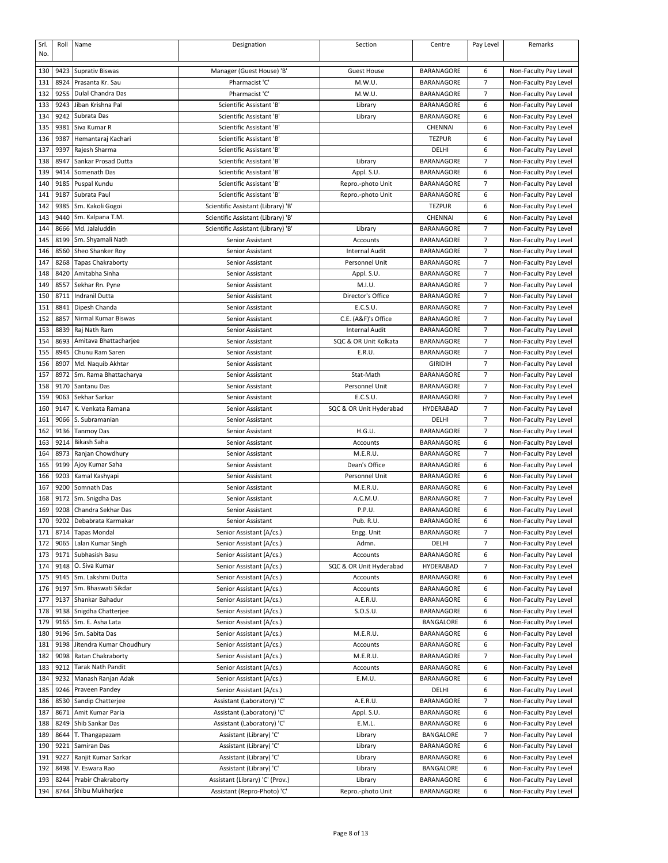| Srl.<br>No. | Roll         | Name                                   | Designation                                          | Section                       | Centre                          | Pay Level                        | Remarks                                        |
|-------------|--------------|----------------------------------------|------------------------------------------------------|-------------------------------|---------------------------------|----------------------------------|------------------------------------------------|
| 130         | 9423         | <b>Suprativ Biswas</b>                 | Manager (Guest House) 'B'                            | <b>Guest House</b>            | <b>BARANAGORE</b>               | 6                                | Non-Faculty Pay Level                          |
| 131         | 8924         | Prasanta Kr. Sau                       | Pharmacist 'C'                                       | M.W.U.                        | BARANAGORE                      | 7                                | Non-Faculty Pay Level                          |
| 132         | 9255         | Dulal Chandra Das                      | Pharmacist 'C'                                       | M.W.U.                        | <b>BARANAGORE</b>               | $\overline{7}$                   | Non-Faculty Pay Level                          |
| 133         | 9243         | Jiban Krishna Pal                      | Scientific Assistant 'B                              | Library                       | BARANAGORE                      | 6                                | Non-Faculty Pay Level                          |
| 134         | 9242         | Subrata Das                            | Scientific Assistant 'B'                             | Library                       | BARANAGORE                      | 6                                | Non-Faculty Pay Level                          |
| 135         | 9381         | Siva Kumar R                           | Scientific Assistant 'B'                             |                               | CHENNAI                         | 6                                | Non-Faculty Pay Level                          |
| 136         | 9387         | Hemantaraj Kachari                     | Scientific Assistant 'B'                             |                               | <b>TEZPUR</b>                   | 6                                | Non-Faculty Pay Level                          |
| 137         | 9397         | Rajesh Sharma                          | Scientific Assistant 'B'                             |                               | DELHI                           | 6                                | Non-Faculty Pay Level                          |
| 138         | 8947         | Sankar Prosad Dutta                    | Scientific Assistant 'B'                             | Library                       | <b>BARANAGORE</b>               | 7                                | Non-Faculty Pay Level                          |
| 139         | 9414         | Somenath Das                           | Scientific Assistant 'B                              | Appl. S.U.                    | <b>BARANAGORE</b>               | 6                                | Non-Faculty Pay Level                          |
| 140         | 9185         | Puspal Kundu                           | Scientific Assistant 'B'                             | Repro.-photo Unit             | <b>BARANAGORE</b>               | 7                                | Non-Faculty Pay Level                          |
| 141         | 9187         | Subrata Paul                           | Scientific Assistant 'B'                             | Repro.-photo Unit             | BARANAGORE                      | 6                                | Non-Faculty Pay Level                          |
| 142         | 9385         | Sm. Kakoli Gogoi                       | Scientific Assistant (Library) 'B'                   |                               | <b>TEZPUR</b>                   | 6                                | Non-Faculty Pay Level                          |
| 143         | 9440         | Sm. Kalpana T.M.                       | Scientific Assistant (Library) 'B'                   |                               | CHENNAI                         | 6                                | Non-Faculty Pay Level                          |
| 144         | 8666         | Md. Jalaluddin                         | Scientific Assistant (Library) 'B'                   | Library                       | BARANAGORE                      | 7                                | Non-Faculty Pay Level                          |
| 145         | 8199         | Sm. Shyamali Nath                      | Senior Assistant                                     | Accounts                      | BARANAGORE                      | $\overline{7}$                   | Non-Faculty Pay Level                          |
| 146         | 8560         | Sheo Shanker Roy                       | Senior Assistant                                     | <b>Internal Audit</b>         | BARANAGORE                      | $\overline{7}$                   | Non-Faculty Pay Level                          |
| 147         | 8268         | <b>Tapas Chakraborty</b>               | Senior Assistant                                     | Personnel Unit                | BARANAGORE                      | 7                                | Non-Faculty Pay Level                          |
| 148         | 8420         | Amitabha Sinha                         | Senior Assistant                                     | Appl. S.U.                    | BARANAGORE                      | 7                                | Non-Faculty Pay Level                          |
| 149         | 8557         | Sekhar Rn. Pyne                        | Senior Assistant                                     | M.I.U.                        | BARANAGORE<br><b>BARANAGORE</b> | $\overline{7}$<br>$\overline{7}$ | Non-Faculty Pay Level                          |
| 150<br>151  | 8711<br>8841 | Indranil Dutta                         | Senior Assistant                                     | Director's Office<br>E.C.S.U. |                                 | 7                                | Non-Faculty Pay Level                          |
| 152         | 8857         | Dipesh Chanda<br>Nirmal Kumar Biswas   | Senior Assistant<br>Senior Assistant                 | C.E. (A&F)'s Office           | BARANAGORE<br><b>BARANAGORE</b> | 7                                | Non-Faculty Pay Level<br>Non-Faculty Pay Level |
| 153         | 8839         | Raj Nath Ram                           | Senior Assistant                                     | <b>Internal Audit</b>         | BARANAGORE                      | $\overline{7}$                   | Non-Faculty Pay Level                          |
| 154         | 8693         | Amitava Bhattacharjee                  | Senior Assistant                                     | SQC & OR Unit Kolkata         | BARANAGORE                      | $\overline{7}$                   | Non-Faculty Pay Level                          |
| 155         | 8945         | Chunu Ram Saren                        | Senior Assistant                                     | E.R.U.                        | <b>BARANAGORE</b>               | 7                                | Non-Faculty Pay Level                          |
| 156         | 8907         | Md. Naquib Akhtar                      | Senior Assistant                                     |                               | <b>GIRIDIH</b>                  | 7                                | Non-Faculty Pay Level                          |
| 157         | 8972         | Sm. Rama Bhattacharya                  | Senior Assistant                                     | Stat-Math                     | BARANAGORE                      | 7                                | Non-Faculty Pay Level                          |
| 158         | 9170         | Santanu Das                            | Senior Assistant                                     | Personnel Unit                | BARANAGORE                      | $\overline{7}$                   | Non-Faculty Pay Level                          |
| 159         | 9063         | Sekhar Sarkar                          | Senior Assistant                                     | E.C.S.U.                      | BARANAGORE                      | 7                                | Non-Faculty Pay Level                          |
| 160         | 9147         | K. Venkata Ramana                      | Senior Assistant                                     | SQC & OR Unit Hyderabad       | HYDERABAD                       | $\overline{7}$                   | Non-Faculty Pay Level                          |
| 161         | 9066         | S. Subramanian                         | Senior Assistant                                     |                               | DELHI                           | 7                                | Non-Faculty Pay Level                          |
| 162         | 9136         | <b>Tanmoy Das</b>                      | Senior Assistant                                     | H.G.U.                        | <b>BARANAGORE</b>               | 7                                | Non-Faculty Pay Level                          |
| 163         | 9214         | Bikash Saha                            | Senior Assistant                                     | Accounts                      | BARANAGORE                      | 6                                | Non-Faculty Pay Level                          |
| 164         | 8973         | Ranjan Chowdhury                       | Senior Assistant                                     | M.E.R.U.                      | BARANAGORE                      | 7                                | Non-Faculty Pay Level                          |
| 165         | 9199         | Ajoy Kumar Saha                        | Senior Assistant                                     | Dean's Office                 | BARANAGORE                      | 6                                | Non-Faculty Pay Level                          |
| 166         | 9203         | Kamal Kashyapi                         | Senior Assistant                                     | Personnel Unit                | BARANAGORE                      | 6                                | Non-Faculty Pay Level                          |
| 167         | 9200         | Somnath Das                            | Senior Assistant                                     | M.E.R.U.                      | BARANAGORE                      | 6                                | Non-Faculty Pay Level                          |
| 168         | 9172         | Sm. Snigdha Das                        | Senior Assistant                                     | A.C.M.U.                      | BARANAGORE                      | 7                                | Non-Faculty Pay Level                          |
| 169         | 9208         | Chandra Sekhar Das                     | Senior Assistant                                     | P.P.U.                        | BARANAGORE                      | 6                                | Non-Faculty Pay Level                          |
| 170         | 9202         | Debabrata Karmakar                     | Senior Assistant                                     | Pub. R.U.                     | BARANAGORE                      | 6                                | Non-Faculty Pay Level                          |
| 171         | 8714         | <b>Tapas Mondal</b>                    | Senior Assistant (A/cs.)                             | Engg. Unit                    | BARANAGORE                      | 7                                | Non-Faculty Pay Level                          |
| 172         | 9065         | Lalan Kumar Singh                      | Senior Assistant (A/cs.)                             | Admn.                         | DELHI                           | 7                                | Non-Faculty Pay Level                          |
| 173         | 9171         | Subhasish Basu                         | Senior Assistant (A/cs.)                             | Accounts                      | BARANAGORE                      | 6                                | Non-Faculty Pay Level                          |
| 174         | 9148         | O. Siva Kumar                          | Senior Assistant (A/cs.)                             | SQC & OR Unit Hyderabad       | HYDERABAD                       | 7                                | Non-Faculty Pay Level                          |
| 175         | 9145         | Sm. Lakshmi Dutta                      | Senior Assistant (A/cs.)                             | Accounts                      | BARANAGORE                      | 6                                | Non-Faculty Pay Level                          |
| 176         | 9197         | Sm. Bhaswati Sikdar                    | Senior Assistant (A/cs.)                             | Accounts                      | BARANAGORE                      | 6                                | Non-Faculty Pay Level                          |
| 177<br>178  | 9137<br>9138 | Shankar Bahadur                        | Senior Assistant (A/cs.)<br>Senior Assistant (A/cs.) | A.E.R.U.<br>S.O.S.U.          | BARANAGORE<br>BARANAGORE        | 6<br>6                           | Non-Faculty Pay Level                          |
| 179         | 9165         | Snigdha Chatterjee<br>Sm. E. Asha Lata | Senior Assistant (A/cs.)                             |                               | BANGALORE                       | 6                                | Non-Faculty Pay Level<br>Non-Faculty Pay Level |
| 180         | 9196         | Sm. Sabita Das                         | Senior Assistant (A/cs.)                             | M.E.R.U.                      | BARANAGORE                      | 6                                | Non-Faculty Pay Level                          |
| 181         | 9198         | Jitendra Kumar Choudhury               | Senior Assistant (A/cs.)                             | Accounts                      | BARANAGORE                      | 6                                | Non-Faculty Pay Level                          |
| 182         | 9098         | Ratan Chakraborty                      | Senior Assistant (A/cs.)                             | M.E.R.U.                      | BARANAGORE                      | 7                                | Non-Faculty Pay Level                          |
| 183         | 9212         | <b>Tarak Nath Pandit</b>               | Senior Assistant (A/cs.)                             | Accounts                      | BARANAGORE                      | 6                                | Non-Faculty Pay Level                          |
| 184         | 9232         | Manash Ranjan Adak                     | Senior Assistant (A/cs.)                             | E.M.U.                        | BARANAGORE                      | 6                                | Non-Faculty Pay Level                          |
| 185         | 9246         | Praveen Pandey                         | Senior Assistant (A/cs.)                             |                               | DELHI                           | 6                                | Non-Faculty Pay Level                          |
| 186         | 8530         | Sandip Chatterjee                      | Assistant (Laboratory) 'C'                           | A.E.R.U.                      | BARANAGORE                      | 7                                | Non-Faculty Pay Level                          |
| 187         | 8671         | Amit Kumar Paria                       | Assistant (Laboratory) 'C'                           | Appl. S.U.                    | BARANAGORE                      | 6                                | Non-Faculty Pay Level                          |
| 188         | 8249         | Shib Sankar Das                        | Assistant (Laboratory) 'C'                           | E.M.L.                        | BARANAGORE                      | 6                                | Non-Faculty Pay Level                          |
| 189         | 8644         | T. Thangapazam                         | Assistant (Library) 'C'                              | Library                       | BANGALORE                       | 7                                | Non-Faculty Pay Level                          |
| 190         | 9221         | Samiran Das                            | Assistant (Library) 'C'                              | Library                       | BARANAGORE                      | 6                                | Non-Faculty Pay Level                          |
| 191         | 9227         | Ranjit Kumar Sarkar                    | Assistant (Library) 'C'                              | Library                       | BARANAGORE                      | 6                                | Non-Faculty Pay Level                          |
| 192         | 8498         | V. Eswara Rao                          | Assistant (Library) 'C'                              | Library                       | BANGALORE                       | 6                                | Non-Faculty Pay Level                          |
| 193         | 8244         | Prabir Chakraborty                     | Assistant (Library) 'C' (Prov.)                      | Library                       | BARANAGORE                      | 6                                | Non-Faculty Pay Level                          |
| 194         | 8744         | Shibu Mukherjee                        | Assistant (Repro-Photo) 'C'                          | Repro.-photo Unit             | BARANAGORE                      | 6                                | Non-Faculty Pay Level                          |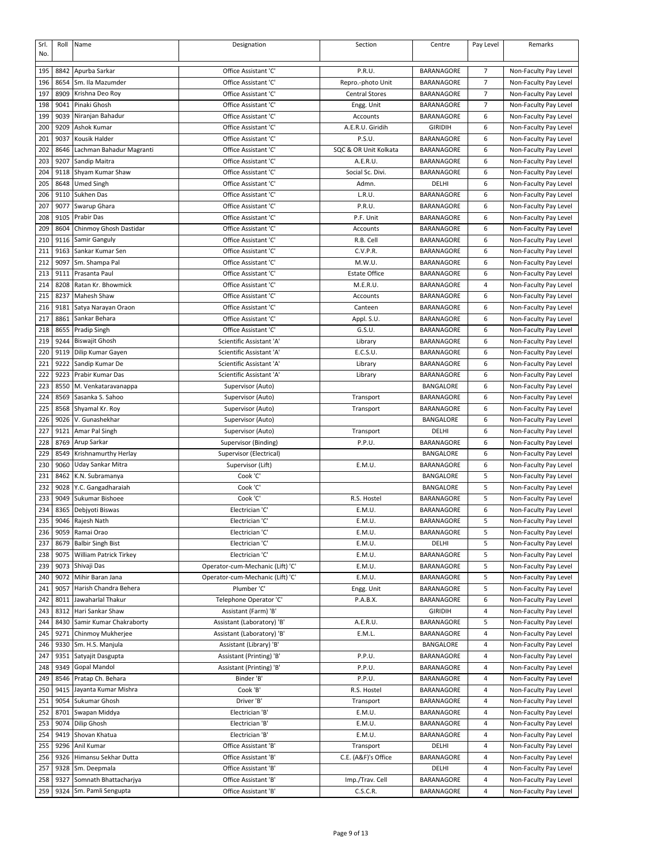| Srl.       | Roll         | Name                                      | Designation                                  | Section               | Centre                   | Pay Level      | Remarks                                        |
|------------|--------------|-------------------------------------------|----------------------------------------------|-----------------------|--------------------------|----------------|------------------------------------------------|
| No.        |              |                                           |                                              |                       |                          |                |                                                |
| 195        | 8842         | Apurba Sarkar                             | Office Assistant 'C'                         | P.R.U.                | BARANAGORE               | 7              | Non-Faculty Pay Level                          |
| 196        | 8654         | Sm. Ila Mazumder                          | Office Assistant 'C'                         | Repro.-photo Unit     | BARANAGORE               | $\overline{7}$ | Non-Faculty Pay Level                          |
| 197        | 8909         | Krishna Deo Roy                           | Office Assistant 'C'                         | <b>Central Stores</b> | BARANAGORE               | 7              | Non-Faculty Pay Level                          |
| 198        | 9041         | Pinaki Ghosh                              | Office Assistant 'C'                         | Engg. Unit            | BARANAGORE               | 7              | Non-Faculty Pay Level                          |
| 199        | 9039         | Niranjan Bahadur                          | Office Assistant 'C'                         | Accounts              | BARANAGORE               | 6              | Non-Faculty Pay Level                          |
| 200        | 9209         | Ashok Kumar                               | Office Assistant 'C'                         | A.E.R.U. Giridih      | <b>GIRIDIH</b>           | 6              | Non-Faculty Pay Level                          |
| 201        | 9037         | Kousik Halder                             | Office Assistant 'C'                         | P.S.U.                | BARANAGORE               | 6              | Non-Faculty Pay Level                          |
| 202        | 8646         | Lachman Bahadur Magranti                  | Office Assistant 'C'                         | SQC & OR Unit Kolkata | BARANAGORE               | 6              | Non-Faculty Pay Level                          |
| 203        | 9207         | Sandip Maitra                             | Office Assistant 'C'                         | A.E.R.U.              | BARANAGORE               | 6              | Non-Faculty Pay Level                          |
| 204        | 9118         | Shyam Kumar Shaw                          | Office Assistant 'C'                         | Social Sc. Divi.      | BARANAGORE               | 6              | Non-Faculty Pay Level                          |
| 205        | 8648         | <b>Umed Singh</b>                         | Office Assistant 'C'                         | Admn.                 | DELHI                    | 6              | Non-Faculty Pay Level                          |
| 206        | 9110         | Sukhen Das                                | Office Assistant 'C'                         | L.R.U.                | BARANAGORE               | 6              | Non-Faculty Pay Level                          |
| 207        | 9077         | Swarup Ghara                              | Office Assistant 'C'                         | P.R.U.                | BARANAGORE               | 6              | Non-Faculty Pay Level                          |
| 208        | 9105         | Prabir Das                                | Office Assistant 'C'                         | P.F. Unit             | BARANAGORE               | 6              | Non-Faculty Pay Level                          |
| 209        | 8604         | Chinmoy Ghosh Dastidar                    | Office Assistant 'C'                         | Accounts              | BARANAGORE               | 6              | Non-Faculty Pay Level                          |
| 210        | 9116         | Samir Ganguly                             | Office Assistant 'C'                         | R.B. Cell             | BARANAGORE               | 6              | Non-Faculty Pay Level                          |
| 211        | 9163         | Sankar Kumar Sen                          | Office Assistant 'C'                         | C.V.P.R.              | BARANAGORE               | 6              | Non-Faculty Pay Level                          |
| 212        | 9097         | Sm. Shampa Pal                            | Office Assistant 'C'                         | M.W.U.                | BARANAGORE               | 6              | Non-Faculty Pay Level                          |
| 213        | 9111         | Prasanta Paul                             | Office Assistant 'C'                         | <b>Estate Office</b>  | BARANAGORE               | 6              | Non-Faculty Pay Level                          |
| 214        | 8208         | Ratan Kr. Bhowmick                        | Office Assistant 'C'                         | M.E.R.U.              | <b>BARANAGORE</b>        | 4              | Non-Faculty Pay Level                          |
| 215        | 8237         | Mahesh Shaw                               | Office Assistant 'C'                         | Accounts              | BARANAGORE<br>BARANAGORE | 6              | Non-Faculty Pay Level                          |
| 216        | 9181<br>8861 | Satya Narayan Oraon<br>Sankar Behara      | Office Assistant 'C'                         | Canteen               |                          | 6<br>6         | Non-Faculty Pay Level                          |
| 217<br>218 | 8655         | Pradip Singh                              | Office Assistant 'C'<br>Office Assistant 'C' | Appl. S.U.<br>G.S.U.  | BARANAGORE<br>BARANAGORE | 6              | Non-Faculty Pay Level<br>Non-Faculty Pay Level |
| 219        | 9244         | <b>Biswajit Ghosh</b>                     | Scientific Assistant 'A'                     |                       | BARANAGORE               | 6              | Non-Faculty Pay Level                          |
| 220        | 9119         | Dilip Kumar Gayen                         | Scientific Assistant 'A'                     | Library<br>E.C.S.U.   | BARANAGORE               | 6              | Non-Faculty Pay Level                          |
| 221        | 9222         | Sandip Kumar De                           | Scientific Assistant 'A'                     | Library               | BARANAGORE               | 6              | Non-Faculty Pay Level                          |
| 222        | 9223         | Prabir Kumar Das                          | Scientific Assistant 'A'                     | Library               | BARANAGORE               | 6              | Non-Faculty Pay Level                          |
| 223        | 8550         | M. Venkataravanappa                       | Supervisor (Auto)                            |                       | BANGALORE                | 6              | Non-Faculty Pay Level                          |
| 224        | 8569         | Sasanka S. Sahoo                          | Supervisor (Auto)                            | Transport             | <b>BARANAGORE</b>        | 6              | Non-Faculty Pay Level                          |
| 225        | 8568         | Shyamal Kr. Roy                           | Supervisor (Auto)                            | Transport             | BARANAGORE               | 6              | Non-Faculty Pay Level                          |
| 226        | 9026         | V. Gunashekhar                            | Supervisor (Auto)                            |                       | BANGALORE                | 6              | Non-Faculty Pay Level                          |
| 227        | 9121         | Amar Pal Singh                            | Supervisor (Auto)                            | Transport             | DELHI                    | 6              | Non-Faculty Pay Level                          |
| 228        | 8769         | Arup Sarkar                               | Supervisor (Binding)                         | P.P.U.                | BARANAGORE               | 6              | Non-Faculty Pay Level                          |
| 229        | 8549         | Krishnamurthy Herlay                      | Supervisor (Electrical)                      |                       | BANGALORE                | 6              | Non-Faculty Pay Level                          |
| 230        | 9060         | Uday Sankar Mitra                         | Supervisor (Lift)                            | E.M.U.                | BARANAGORE               | 6              | Non-Faculty Pay Level                          |
| 231        | 8462         | K.N. Subramanya                           | Cook 'C'                                     |                       | BANGALORE                | 5              | Non-Faculty Pay Level                          |
| 232        | 9028         | Y.C. Gangadharaiah                        | Cook 'C'                                     |                       | BANGALORE                | 5              | Non-Faculty Pay Level                          |
| 233        | 9049         | Sukumar Bishoee                           | Cook 'C'                                     | R.S. Hostel           | BARANAGORE               | 5              | Non-Faculty Pay Level                          |
| 234        | 8365         | Debiyoti Biswas                           | Electrician 'C'                              | E.M.U.                | BARANAGORE               | 6              | Non-Faculty Pay Level                          |
| 235        |              | 9046 Rajesh Nath                          | Electrician 'C'                              | E.M.U.                | BARANAGORE               | 5              | Non-Faculty Pay Level                          |
| 236        | 9059         | Ramai Orao                                | Electrician 'C'                              | E.M.U.                | BARANAGORE               | 5              | Non-Faculty Pay Level                          |
| 237        | 8679         | <b>Balbir Singh Bist</b>                  | Electrician 'C'                              | E.M.U.                | DELHI                    | 5              | Non-Faculty Pay Level                          |
| 238        | 9075         | <b>William Patrick Tirkey</b>             | Electrician 'C'                              | E.M.U.                | BARANAGORE               | 5              | Non-Faculty Pay Level                          |
| 239        | 9073         | Shivaji Das                               | Operator-cum-Mechanic (Lift) 'C'             | E.M.U.                | BARANAGORE               | 5              | Non-Faculty Pay Level                          |
| 240        | 9072         | Mihir Baran Jana                          | Operator-cum-Mechanic (Lift) 'C'             | E.M.U.                | BARANAGORE               | 5              | Non-Faculty Pay Level                          |
| 241        | 9057         | Harish Chandra Behera                     | Plumber 'C'                                  | Engg. Unit            | BARANAGORE               | 5              | Non-Faculty Pay Level                          |
| 242        | 8011         | Jawaharlal Thakur                         | Telephone Operator 'C'                       | P.A.B.X.              | BARANAGORE               | 6              | Non-Faculty Pay Level                          |
| 243        | 8312         | Hari Sankar Shaw                          | Assistant (Farm) 'B'                         |                       | <b>GIRIDIH</b>           | 4              | Non-Faculty Pay Level                          |
| 244        | 8430         | Samir Kumar Chakraborty                   | Assistant (Laboratory) 'B'                   | A.E.R.U.              | BARANAGORE               | 5              | Non-Faculty Pay Level                          |
| 245        | 9271         | Chinmoy Mukherjee                         | Assistant (Laboratory) 'B'                   | E.M.L.                | BARANAGORE               | 4              | Non-Faculty Pay Level                          |
| 246        | 9330         | Sm. H.S. Manjula                          | Assistant (Library) 'B'                      |                       | BANGALORE                | 4              | Non-Faculty Pay Level                          |
| 247        | 9351         | Satyajit Dasgupta                         | Assistant (Printing) 'B'                     | P.P.U.                | BARANAGORE               | 4              | Non-Faculty Pay Level                          |
| 248        | 9349         | Gopal Mandol                              | Assistant (Printing) 'B'                     | P.P.U.                | BARANAGORE               | 4              | Non-Faculty Pay Level                          |
| 249<br>250 | 8546<br>9415 | Pratap Ch. Behara<br>Jayanta Kumar Mishra | Binder 'B'<br>Cook 'B'                       | P.P.U.<br>R.S. Hostel | BARANAGORE<br>BARANAGORE | 4<br>4         | Non-Faculty Pay Level                          |
| 251        | 9054         | Sukumar Ghosh                             | Driver 'B'                                   |                       | BARANAGORE               | 4              | Non-Faculty Pay Level                          |
| 252        | 8701         | Swapan Middya                             | Electrician 'B'                              | Transport<br>E.M.U.   | BARANAGORE               | 4              | Non-Faculty Pay Level<br>Non-Faculty Pay Level |
| 253        | 9074         | Dilip Ghosh                               | Electrician 'B'                              | E.M.U.                | BARANAGORE               | 4              | Non-Faculty Pay Level                          |
| 254        | 9419         | Shovan Khatua                             | Electrician 'B'                              | E.M.U.                | BARANAGORE               | 4              | Non-Faculty Pay Level                          |
| 255        | 9296         | Anil Kumar                                | Office Assistant 'B'                         | Transport             | DELHI                    | 4              | Non-Faculty Pay Level                          |
| 256        | 9326         | Himansu Sekhar Dutta                      | Office Assistant 'B'                         | C.E. (A&F)'s Office   | BARANAGORE               | 4              | Non-Faculty Pay Level                          |
| 257        | 9328         | Sm. Deepmala                              | Office Assistant 'B'                         |                       | DELHI                    | 4              | Non-Faculty Pay Level                          |
| 258        | 9327         | Somnath Bhattacharjya                     | Office Assistant 'B'                         | Imp./Trav. Cell       | BARANAGORE               | 4              | Non-Faculty Pay Level                          |
| 259        | 9324         | Sm. Pamli Sengupta                        | Office Assistant 'B'                         | C.S.C.R.              | BARANAGORE               | 4              | Non-Faculty Pay Level                          |
|            |              |                                           |                                              |                       |                          |                |                                                |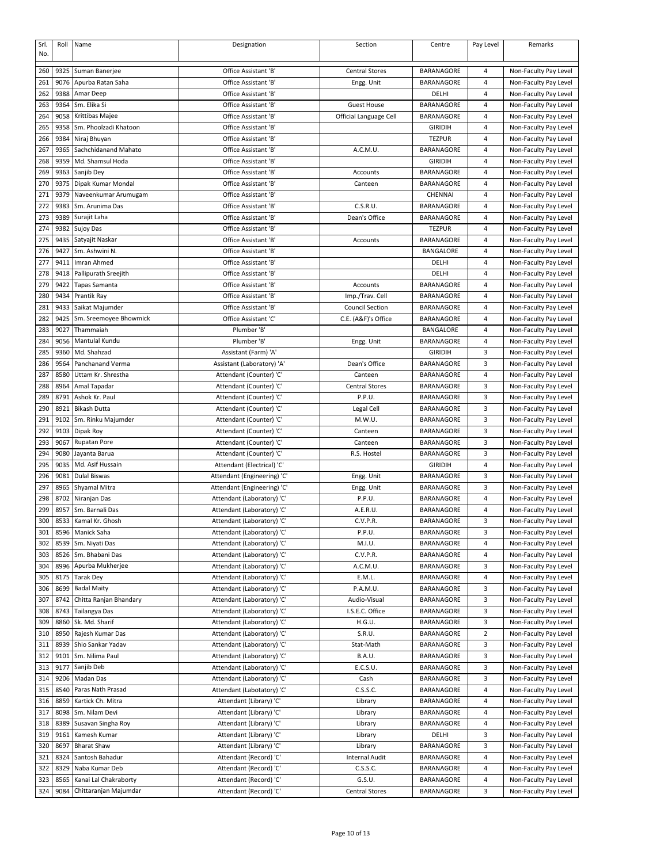| Srl.<br>No. | Roll         | Name                                         | Designation                                               | Section                | Centre                          | Pay Level | Remarks                                        |
|-------------|--------------|----------------------------------------------|-----------------------------------------------------------|------------------------|---------------------------------|-----------|------------------------------------------------|
| 260         | 9325         | Suman Banerjee                               | Office Assistant 'B'                                      | <b>Central Stores</b>  | <b>BARANAGORE</b>               | 4         | Non-Faculty Pay Level                          |
| 261         | 9076         | Apurba Ratan Saha                            | Office Assistant 'B'                                      | Engg. Unit             | <b>BARANAGORE</b>               | 4         | Non-Faculty Pay Level                          |
| 262         | 9388         | Amar Deep                                    | Office Assistant 'B'                                      |                        | DELHI                           | 4         | Non-Faculty Pay Level                          |
| 263         | 9364         | Sm. Elika Si                                 | Office Assistant 'B'                                      | <b>Guest House</b>     | BARANAGORE                      | 4         | Non-Faculty Pay Level                          |
| 264         | 9058         | Krittibas Majee                              | Office Assistant 'B'                                      | Official Language Cell | <b>BARANAGORE</b>               | 4         | Non-Faculty Pay Level                          |
| 265         | 9358         | Sm. Phoolzadi Khatoon                        | Office Assistant 'B'                                      |                        | <b>GIRIDIH</b>                  | 4         | Non-Faculty Pay Level                          |
| 266         | 9384         | Niraj Bhuyan                                 | Office Assistant 'B'                                      |                        | <b>TEZPUR</b>                   | 4         | Non-Faculty Pay Level                          |
| 267         | 9365         | Sachchidanand Mahato                         | Office Assistant 'B'                                      | A.C.M.U.               | BARANAGORE                      | 4         | Non-Faculty Pay Level                          |
| 268         | 9359         | Md. Shamsul Hoda                             | Office Assistant 'B'                                      |                        | <b>GIRIDIH</b>                  | 4         | Non-Faculty Pay Level                          |
| 269         | 9363         | Sanjib Dey                                   | Office Assistant 'B'                                      | Accounts               | <b>BARANAGORE</b>               | 4         | Non-Faculty Pay Level                          |
| 270         | 9375         | Dipak Kumar Mondal                           | Office Assistant 'B'                                      | Canteen                | BARANAGORE                      | 4         | Non-Faculty Pay Level                          |
| 271         | 9379         | Naveenkumar Arumugam                         | Office Assistant 'B'                                      |                        | CHENNAI                         | 4         | Non-Faculty Pay Level                          |
| 272         | 9383         | Sm. Arunima Das                              | Office Assistant 'B'                                      | C.S.R.U.               | <b>BARANAGORE</b>               | 4         | Non-Faculty Pay Level                          |
| 273         | 9389         | Surajit Laha                                 | Office Assistant 'B'                                      | Dean's Office          | BARANAGORE                      | 4         | Non-Faculty Pay Level                          |
| 274         | 9382         | Sujoy Das                                    | Office Assistant 'B'                                      |                        | <b>TEZPUR</b>                   | 4         | Non-Faculty Pay Level                          |
| 275         | 9435         | Satyajit Naskar                              | Office Assistant 'B'                                      | Accounts               | BARANAGORE                      | 4         | Non-Faculty Pay Level                          |
| 276         | 9427         | Sm. Ashwini N.                               | Office Assistant 'B                                       |                        | BANGALORE                       | 4         | Non-Faculty Pay Level                          |
| 277         | 9411<br>9418 | Imran Ahmed                                  | Office Assistant 'B'                                      |                        | DELHI                           | 4         | Non-Faculty Pay Level                          |
| 278<br>279  | 9422         | Pallipurath Sreejith<br><b>Tapas Samanta</b> | Office Assistant 'B'<br>Office Assistant 'B'              | Accounts               | DELHI<br>BARANAGORE             | 4<br>4    | Non-Faculty Pay Level<br>Non-Faculty Pay Level |
| 280         | 9434         | Prantik Ray                                  | Office Assistant 'B'                                      | Imp./Trav. Cell        | <b>BARANAGORE</b>               | 4         | Non-Faculty Pay Level                          |
| 281         | 9433         | Saikat Majumder                              | Office Assistant 'B'                                      | <b>Council Section</b> | BARANAGORE                      | 4         | Non-Faculty Pay Level                          |
| 282         | 9425         | Sm. Sreemoyee Bhowmick                       | Office Assistant 'C'                                      | C.E. (A&F)'s Office    | <b>BARANAGORE</b>               | 4         | Non-Faculty Pay Level                          |
| 283         | 9027         | Thammaiah                                    | Plumber 'B'                                               |                        | BANGALORE                       | 4         | Non-Faculty Pay Level                          |
| 284         | 9056         | Mantulal Kundu                               | Plumber 'B'                                               | Engg. Unit             | BARANAGORE                      | 4         | Non-Faculty Pay Level                          |
| 285         | 9360         | Md. Shahzad                                  | Assistant (Farm) 'A'                                      |                        | <b>GIRIDIH</b>                  | 3         | Non-Faculty Pay Level                          |
| 286         | 9564         | Panchanand Verma                             | Assistant (Laboratory) 'A'                                | Dean's Office          | BARANAGORE                      | 3         | Non-Faculty Pay Level                          |
| 287         | 8580         | Uttam Kr. Shrestha                           | Attendant (Counter) 'C'                                   | Canteen                | BARANAGORE                      | 4         | Non-Faculty Pay Level                          |
| 288         | 8964         | Amal Tapadar                                 | Attendant (Counter) 'C'                                   | <b>Central Stores</b>  | BARANAGORE                      | 3         | Non-Faculty Pay Level                          |
| 289         | 8791         | Ashok Kr. Paul                               | Attendant (Counter) 'C'                                   | P.P.U.                 | BARANAGORE                      | 3         | Non-Faculty Pay Level                          |
| 290         | 8921         | <b>Bikash Dutta</b>                          | Attendant (Counter) 'C'                                   | Legal Cell             | BARANAGORE                      | 3         | Non-Faculty Pay Level                          |
| 291         | 9102         | Sm. Rinku Majumder                           | Attendant (Counter) 'C'                                   | M.W.U.                 | BARANAGORE                      | 3         | Non-Faculty Pay Level                          |
| 292         | 9103         | Dipak Roy                                    | Attendant (Counter) 'C'                                   | Canteen                | <b>BARANAGORE</b>               | 3         | Non-Faculty Pay Level                          |
| 293         | 9067         | <b>Rupatan Pore</b>                          | Attendant (Counter) 'C'                                   | Canteen                | <b>BARANAGORE</b>               | 3         | Non-Faculty Pay Level                          |
| 294         | 9080         | Jayanta Barua                                | Attendant (Counter) 'C'                                   | R.S. Hostel            | BARANAGORE                      | 3         | Non-Faculty Pay Level                          |
| 295         | 9035         | Md. Asif Hussain                             | Attendant (Electrical) 'C'                                |                        | <b>GIRIDIH</b>                  | 4         | Non-Faculty Pay Level                          |
| 296         | 9081         | <b>Dulal Biswas</b>                          | Attendant (Engineering) 'C'                               | Engg. Unit             | BARANAGORE                      | 3         | Non-Faculty Pay Level                          |
| 297<br>298  | 8965<br>8702 | Shyamal Mitra                                | Attendant (Engineering) 'C'<br>Attendant (Laboratory) 'C' | Engg. Unit<br>P.P.U.   | <b>BARANAGORE</b><br>BARANAGORE | 3<br>4    | Non-Faculty Pay Level                          |
| 299         | 8957         | Niranjan Das<br>Sm. Barnali Das              | Attendant (Laboratory) 'C'                                | A.E.R.U.               | BARANAGORE                      | 4         | Non-Faculty Pay Level<br>Non-Faculty Pay Level |
| 300         | 8533         | Kamal Kr. Ghosh                              | Attendant (Laboratory) 'C'                                | C.V.P.R.               | BARANAGORE                      | 3         | Non-Faculty Pay Level                          |
| 301         | 8596         | Manick Saha                                  | Attendant (Laboratory) 'C'                                | P.P.U.                 | BARANAGORE                      | 3         | Non-Faculty Pay Level                          |
| 302         | 8539         | Sm. Niyati Das                               | Attendant (Laboratory) 'C'                                | M.I.U.                 | BARANAGORE                      | 4         | Non-Faculty Pay Level                          |
| 303         | 8526         | Sm. Bhabani Das                              | Attendant (Laboratory) 'C'                                | C.V.P.R.               | BARANAGORE                      | 4         | Non-Faculty Pay Level                          |
| 304         | 8996         | Apurba Mukherjee                             | Attendant (Laboratory) 'C'                                | A.C.M.U.               | BARANAGORE                      | 3         | Non-Faculty Pay Level                          |
| 305         | 8175         | Tarak Dey                                    | Attendant (Laboratory) 'C'                                | E.M.L.                 | BARANAGORE                      | 4         | Non-Faculty Pay Level                          |
| 306         | 8699         | <b>Badal Maity</b>                           | Attendant (Laboratory) 'C'                                | P.A.M.U.               | BARANAGORE                      | 3         | Non-Faculty Pay Level                          |
| 307         | 8742         | Chitta Ranjan Bhandary                       | Attendant (Laboratory) 'C'                                | Audio-Visual           | BARANAGORE                      | 3         | Non-Faculty Pay Level                          |
| 308         | 8743         | Tailangya Das                                | Attendant (Laboratory) 'C'                                | I.S.E.C. Office        | BARANAGORE                      | 3         | Non-Faculty Pay Level                          |
| 309         | 8860         | Sk. Md. Sharif                               | Attendant (Laboratory) 'C'                                | H.G.U.                 | BARANAGORE                      | 3         | Non-Faculty Pay Level                          |
| 310         | 8950         | Rajesh Kumar Das                             | Attendant (Laboratory) 'C'                                | S.R.U.                 | BARANAGORE                      | 2         | Non-Faculty Pay Level                          |
| 311         | 8939         | Shio Sankar Yadav                            | Attendant (Laboratory) 'C'                                | Stat-Math              | BARANAGORE                      | 3         | Non-Faculty Pay Level                          |
| 312         | 9101         | Sm. Nilima Paul                              | Attendant (Laboratory) 'C'                                | B.A.U.                 | BARANAGORE                      | 3         | Non-Faculty Pay Level                          |
| 313         | 9177         | Sanjib Deb                                   | Attendant (Laboratory) 'C'                                | E.C.S.U.               | BARANAGORE                      | 3         | Non-Faculty Pay Level                          |
| 314         | 9206         | Madan Das                                    | Attendant (Laboratory) 'C'                                | Cash                   | BARANAGORE                      | 3         | Non-Faculty Pay Level                          |
| 315         | 8540         | Paras Nath Prasad                            | Attendant (Labotatory) 'C'                                | C.S.S.C.               | BARANAGORE                      | 4         | Non-Faculty Pay Level                          |
| 316<br>317  | 8859<br>8098 | Kartick Ch. Mitra<br>Sm. Nilam Devi          | Attendant (Library) 'C'<br>Attendant (Library) 'C'        | Library                | BARANAGORE<br>BARANAGORE        | 4<br>4    | Non-Faculty Pay Level                          |
| 318         | 8389         | Susavan Singha Roy                           | Attendant (Library) 'C'                                   | Library<br>Library     | BARANAGORE                      | 4         | Non-Faculty Pay Level<br>Non-Faculty Pay Level |
| 319         | 9161         | Kamesh Kumar                                 | Attendant (Library) 'C'                                   | Library                | DELHI                           | 3         | Non-Faculty Pay Level                          |
| 320         | 8697         | <b>Bharat Shaw</b>                           | Attendant (Library) 'C'                                   | Library                | BARANAGORE                      | 3         | Non-Faculty Pay Level                          |
| 321         | 8324         | Santosh Bahadur                              | Attendant (Record) 'C'                                    | <b>Internal Audit</b>  | BARANAGORE                      | 4         | Non-Faculty Pay Level                          |
| 322         | 8329         | Naba Kumar Deb                               | Attendant (Record) 'C'                                    | C.S.S.C.               | BARANAGORE                      | 4         | Non-Faculty Pay Level                          |
| 323         | 8565         | Kanai Lal Chakraborty                        | Attendant (Record) 'C'                                    | G.S.U.                 | BARANAGORE                      | 4         | Non-Faculty Pay Level                          |
| 324         | 9084         | Chittaranjan Majumdar                        | Attendant (Record) 'C'                                    | <b>Central Stores</b>  | BARANAGORE                      | 3         | Non-Faculty Pay Level                          |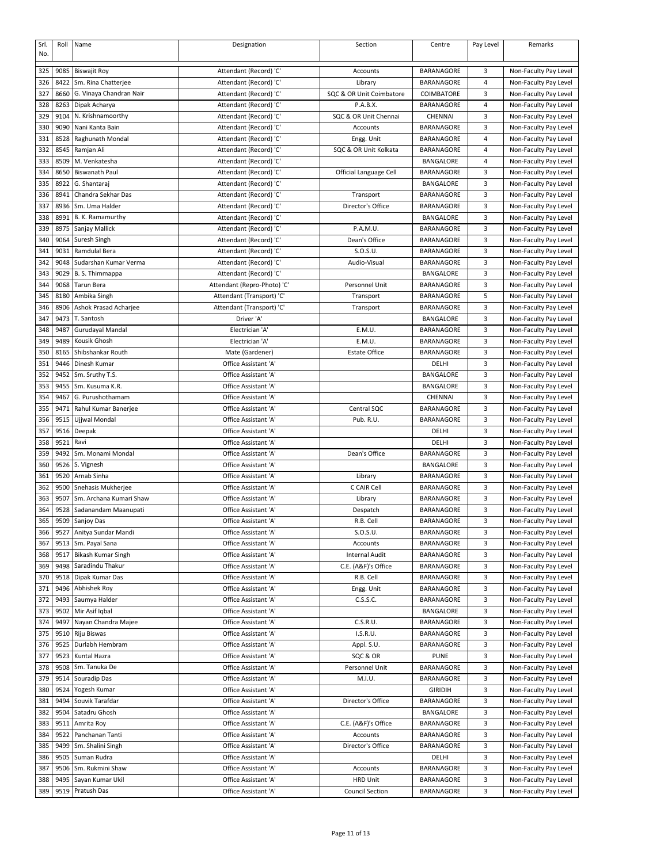| Srl.<br>No. | Roll | Name                             | Designation                 | Section                  | Centre            | Pay Level | Remarks               |
|-------------|------|----------------------------------|-----------------------------|--------------------------|-------------------|-----------|-----------------------|
|             |      |                                  |                             |                          |                   |           |                       |
| 325         | 9085 | <b>Biswajit Roy</b>              | Attendant (Record) 'C'      | Accounts                 | BARANAGORE        | 3         | Non-Faculty Pay Level |
| 326         | 8422 | Sm. Rina Chatterjee              | Attendant (Record) 'C'      | Library                  | BARANAGORE        | 4         | Non-Faculty Pay Level |
| 327         | 8660 | G. Vinaya Chandran Nair          | Attendant (Record) 'C'      | SQC & OR Unit Coimbatore | COIMBATORE        | 3         | Non-Faculty Pay Level |
| 328         | 8263 | Dipak Acharya                    | Attendant (Record) 'C'      | P.A.B.X.                 | BARANAGORE        | 4         | Non-Faculty Pay Level |
| 329         | 9104 | N. Krishnamoorthy                | Attendant (Record) 'C'      | SQC & OR Unit Chennai    | CHENNAI           | 3         | Non-Faculty Pay Level |
| 330         | 9090 | Nani Kanta Bain                  | Attendant (Record) 'C'      | Accounts                 | <b>BARANAGORE</b> | 3         | Non-Faculty Pay Level |
| 331         | 8528 | Raghunath Mondal                 | Attendant (Record) 'C'      | Engg. Unit               | BARANAGORE        | 4         | Non-Faculty Pay Level |
| 332         | 8545 | Ramjan Ali                       | Attendant (Record) 'C'      | SQC & OR Unit Kolkata    | <b>BARANAGORE</b> | 4         | Non-Faculty Pay Level |
| 333         | 8509 | M. Venkatesha                    | Attendant (Record) 'C'      |                          | BANGALORE         | 4         | Non-Faculty Pay Level |
| 334         | 8650 | <b>Biswanath Paul</b>            | Attendant (Record) 'C'      | Official Language Cell   | <b>BARANAGORE</b> | 3         | Non-Faculty Pay Level |
| 335         | 8922 | G. Shantaraj                     | Attendant (Record) 'C'      |                          | <b>BANGALORE</b>  | 3         | Non-Faculty Pay Level |
| 336         | 8941 | Chandra Sekhar Das               | Attendant (Record) 'C'      | Transport                | <b>BARANAGORE</b> | 3         | Non-Faculty Pay Level |
| 337         | 8936 | Sm. Uma Halder                   | Attendant (Record) 'C'      | Director's Office        | <b>BARANAGORE</b> | 3         | Non-Faculty Pay Level |
| 338         | 8991 | B. K. Ramamurthy                 | Attendant (Record) 'C'      |                          | BANGALORE         | 3         | Non-Faculty Pay Level |
| 339         | 8975 | Sanjay Mallick                   | Attendant (Record) 'C'      | P.A.M.U.                 | BARANAGORE        | 3         | Non-Faculty Pay Level |
| 340         | 9064 | Suresh Singh                     | Attendant (Record) 'C'      | Dean's Office            | BARANAGORE        | 3         | Non-Faculty Pay Level |
| 341         | 9031 | Ramdulal Bera                    | Attendant (Record) 'C'      | S.O.S.U.                 | <b>BARANAGORE</b> | 3         | Non-Faculty Pay Level |
| 342         | 9048 | Sudarshan Kumar Verma            | Attendant (Record) 'C'      | Audio-Visual             | BARANAGORE        | 3         | Non-Faculty Pay Level |
| 343         | 9029 | B. S. Thimmappa                  | Attendant (Record) 'C'      |                          | BANGALORE         | 3         | Non-Faculty Pay Level |
| 344         | 9068 | <b>Tarun Bera</b>                | Attendant (Repro-Photo) 'C' | Personnel Unit           | BARANAGORE        | 3         | Non-Faculty Pay Level |
| 345         | 8180 | Ambika Singh                     | Attendant (Transport) 'C'   | Transport                | BARANAGORE        | 5         | Non-Faculty Pay Level |
| 346         | 8906 | Ashok Prasad Acharjee            | Attendant (Transport) 'C'   | Transport                | <b>BARANAGORE</b> | 3         | Non-Faculty Pay Level |
| 347         | 9473 | T. Santosh                       | Driver 'A'                  |                          | BANGALORE         | 3         |                       |
|             | 9487 |                                  | Electrician 'A'             | E.M.U                    | BARANAGORE        | 3         | Non-Faculty Pay Level |
| 348         |      | Gurudayal Mandal<br>Kousik Ghosh |                             |                          |                   |           | Non-Faculty Pay Level |
| 349         | 9489 |                                  | Electrician 'A'             | E.M.U.                   | BARANAGORE        | 3         | Non-Faculty Pay Level |
| 350         | 8165 | Shibshankar Routh                | Mate (Gardener)             | <b>Estate Office</b>     | <b>BARANAGORE</b> | 3         | Non-Faculty Pay Level |
| 351         | 9446 | Dinesh Kumar                     | Office Assistant 'A'        |                          | DELHI             | 3         | Non-Faculty Pay Level |
| 352         | 9452 | Sm. Sruthy T.S.                  | Office Assistant 'A'        |                          | BANGALORE         | 3         | Non-Faculty Pay Level |
| 353         | 9455 | Sm. Kusuma K.R.                  | Office Assistant 'A'        |                          | BANGALORE         | 3         | Non-Faculty Pay Level |
| 354         | 9467 | G. Purushothamam                 | Office Assistant 'A'        |                          | CHENNAI           | 3         | Non-Faculty Pay Level |
| 355         | 9471 | Rahul Kumar Banerjee             | Office Assistant 'A'        | Central SQC              | <b>BARANAGORE</b> | 3         | Non-Faculty Pay Level |
| 356         | 9515 | Ujjwal Mondal                    | Office Assistant 'A'        | Pub. R.U.                | BARANAGORE        | 3         | Non-Faculty Pay Level |
| 357         | 9516 | Deepak                           | Office Assistant 'A'        |                          | DELHI             | 3         | Non-Faculty Pay Level |
| 358         | 9521 | Ravi                             | Office Assistant 'A'        |                          | DELHI             | 3         | Non-Faculty Pay Level |
| 359         | 9492 | Sm. Monami Mondal                | Office Assistant 'A'        | Dean's Office            | <b>BARANAGORE</b> | 3         | Non-Faculty Pay Level |
| 360         | 9526 | S. Vignesh                       | Office Assistant 'A'        |                          | BANGALORE         | 3         | Non-Faculty Pay Level |
| 361         | 9520 | Arnab Sinha                      | Office Assistant 'A'        | Library                  | BARANAGORE        | 3         | Non-Faculty Pay Level |
| 362         | 9500 | Snehasis Mukherjee               | Office Assistant 'A'        | C CAIR Cell              | <b>BARANAGORE</b> | 3         | Non-Faculty Pay Level |
| 363         | 9507 | Sm. Archana Kumari Shaw          | Office Assistant 'A'        | Library                  | BARANAGORE        | 3         | Non-Faculty Pay Level |
| 364         | 9528 | Sadanandam Maanupati             | Office Assistant 'A'        | Despatch                 | BARANAGORE        | 3         | Non-Faculty Pay Level |
| 365         | 9509 | Sanjoy Das                       | Office Assistant 'A'        | R.B. Cell                | BARANAGORE        | 3         | Non-Faculty Pay Level |
| 366         | 9527 | Anitya Sundar Mandi              | Office Assistant 'A'        | S.O.S.U.                 | BARANAGORE        | 3         | Non-Faculty Pay Level |
| 367         | 9513 | Sm. Payal Sana                   | Office Assistant 'A'        | Accounts                 | BARANAGORE        | 3         | Non-Faculty Pay Level |
| 368         | 9517 | <b>Bikash Kumar Singh</b>        | Office Assistant 'A'        | <b>Internal Audit</b>    | BARANAGORE        | 3         | Non-Faculty Pay Level |
| 369         | 9498 | Saradindu Thakur                 | Office Assistant 'A'        | C.E. (A&F)'s Office      | BARANAGORE        | 3         | Non-Faculty Pay Level |
| 370         | 9518 | Dipak Kumar Das                  | Office Assistant 'A'        | R.B. Cell                | BARANAGORE        | 3         | Non-Faculty Pay Level |
| 371         | 9496 | Abhishek Roy                     | Office Assistant 'A'        | Engg. Unit               | BARANAGORE        | 3         | Non-Faculty Pay Level |
| 372         | 9493 | Saumya Halder                    | Office Assistant 'A'        | C.S.S.C.                 | BARANAGORE        | 3         | Non-Faculty Pay Level |
| 373         | 9502 | Mir Asif Iqbal                   | Office Assistant 'A'        |                          | BANGALORE         | 3         | Non-Faculty Pay Level |
| 374         | 9497 | Nayan Chandra Majee              | Office Assistant 'A'        | C.S.R.U.                 | BARANAGORE        | 3         | Non-Faculty Pay Level |
| 375         | 9510 | Riju Biswas                      | Office Assistant 'A'        | I.S.R.U.                 | BARANAGORE        | 3         | Non-Faculty Pay Level |
| 376         | 9525 | Durlabh Hembram                  | Office Assistant 'A'        | Appl. S.U.               | BARANAGORE        | 3         | Non-Faculty Pay Level |
| 377         | 9523 | Kuntal Hazra                     | Office Assistant 'A'        | SQC & OR                 | <b>PUNE</b>       | 3         | Non-Faculty Pay Level |
| 378         | 9508 | Sm. Tanuka De                    | Office Assistant 'A'        | Personnel Unit           | BARANAGORE        | 3         | Non-Faculty Pay Level |
| 379         | 9514 | Souradip Das                     | Office Assistant 'A'        | M.I.U.                   | BARANAGORE        | 3         | Non-Faculty Pay Level |
| 380         | 9524 | Yogesh Kumar                     | Office Assistant 'A'        |                          | <b>GIRIDIH</b>    | 3         | Non-Faculty Pay Level |
| 381         | 9494 | Souvik Tarafdar                  | Office Assistant 'A'        | Director's Office        | BARANAGORE        | 3         | Non-Faculty Pay Level |
| 382         | 9504 | Satadru Ghosh                    | Office Assistant 'A'        |                          | BANGALORE         | 3         | Non-Faculty Pay Level |
| 383         | 9511 | Amrita Roy                       | Office Assistant 'A'        | C.E. (A&F)'s Office      | BARANAGORE        | 3         | Non-Faculty Pay Level |
| 384         | 9522 | Panchanan Tanti                  | Office Assistant 'A'        | Accounts                 | BARANAGORE        | 3         | Non-Faculty Pay Level |
|             |      |                                  |                             |                          |                   |           |                       |
| 385         | 9499 | Sm. Shalini Singh                | Office Assistant 'A'        | Director's Office        | BARANAGORE        | 3         | Non-Faculty Pay Level |
| 386         | 9505 | Suman Rudra                      | Office Assistant 'A'        |                          | DELHI             | 3         | Non-Faculty Pay Level |
| 387         | 9506 | Sm. Rukmini Shaw                 | Office Assistant 'A'        | Accounts                 | BARANAGORE        | 3         | Non-Faculty Pay Level |
| 388         | 9495 | Sayan Kumar Ukil                 | Office Assistant 'A'        | <b>HRD Unit</b>          | BARANAGORE        | 3         | Non-Faculty Pay Level |
| 389         | 9519 | Pratush Das                      | Office Assistant 'A'        | <b>Council Section</b>   | BARANAGORE        | 3         | Non-Faculty Pay Level |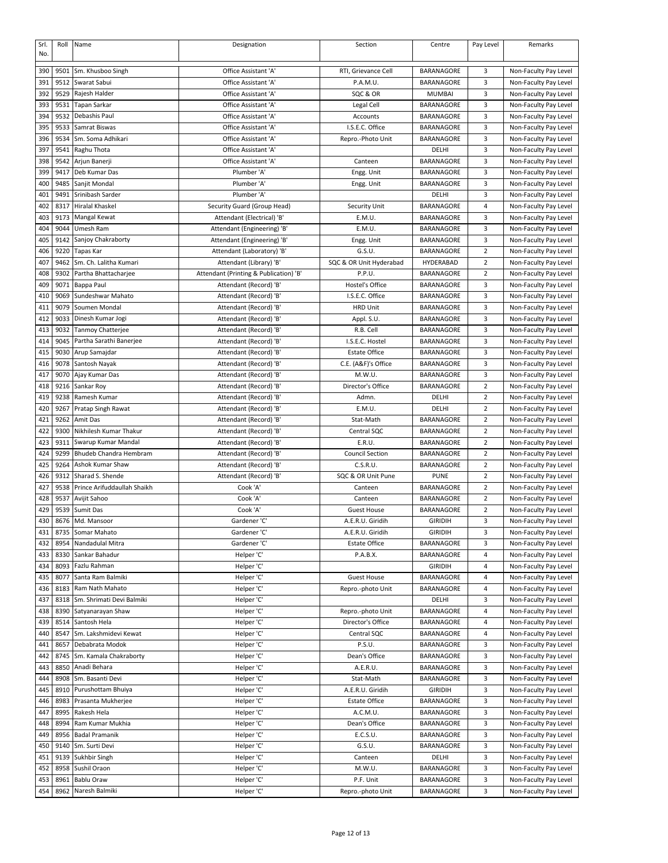| Srl. | Roll | Name                        | Designation                            | Section                 | Centre            | Pay Level      | Remarks               |
|------|------|-----------------------------|----------------------------------------|-------------------------|-------------------|----------------|-----------------------|
| No.  |      |                             |                                        |                         |                   |                |                       |
| 390  | 9501 | Sm. Khusboo Singh           | Office Assistant 'A'                   | RTI, Grievance Cell     | BARANAGORE        | 3              | Non-Faculty Pay Level |
| 391  | 9512 | Swarat Sabui                | Office Assistant 'A'                   | P.A.M.U.                | BARANAGORE        | 3              | Non-Faculty Pay Level |
| 392  | 9529 | Rajesh Halder               | Office Assistant 'A'                   | SQC & OR                | <b>MUMBAI</b>     | 3              | Non-Faculty Pay Level |
|      |      |                             |                                        |                         |                   |                |                       |
| 393  | 9531 | Tapan Sarkar                | Office Assistant 'A'                   | Legal Cell              | BARANAGORE        | 3              | Non-Faculty Pay Level |
| 394  | 9532 | Debashis Paul               | Office Assistant 'A'                   | Accounts                | <b>BARANAGORE</b> | 3              | Non-Faculty Pay Level |
| 395  | 9533 | Samrat Biswas               | Office Assistant 'A'                   | I.S.E.C. Office         | BARANAGORE        | 3              | Non-Faculty Pay Level |
| 396  | 9534 | Sm. Soma Adhikari           | Office Assistant 'A'                   | Repro.-Photo Unit       | BARANAGORE        | 3              | Non-Faculty Pay Level |
| 397  | 9541 | Raghu Thota                 | Office Assistant 'A'                   |                         | DELHI             | 3              | Non-Faculty Pay Level |
| 398  | 9542 | Arjun Banerji               | Office Assistant 'A'                   | Canteen                 | BARANAGORE        | 3              | Non-Faculty Pay Level |
| 399  | 9417 | Deb Kumar Das               | Plumber 'A'                            | Engg. Unit              | <b>BARANAGORE</b> | 3              | Non-Faculty Pay Level |
| 400  | 9485 | Sanjit Mondal               | Plumber 'A'                            | Engg. Unit              | BARANAGORE        | 3              | Non-Faculty Pay Level |
| 401  | 9491 | Srinibash Sarder            | Plumber 'A'                            |                         | DELHI             | 3              | Non-Faculty Pay Level |
| 402  | 8317 | Hiralal Khaskel             | Security Guard (Group Head)            | Security Unit           | BARANAGORE        | 4              | Non-Faculty Pay Level |
| 403  | 9173 | Mangal Kewat                | Attendant (Electrical) 'B'             | E.M.U.                  | BARANAGORE        | 3              | Non-Faculty Pay Level |
| 404  | 9044 | Umesh Ram                   | Attendant (Engineering) 'B'            | E.M.U.                  | BARANAGORE        | 3              | Non-Faculty Pay Level |
|      |      |                             |                                        |                         |                   |                |                       |
| 405  | 9142 | Sanjoy Chakraborty          | Attendant (Engineering) 'B'            | Engg. Unit              | BARANAGORE        | 3              | Non-Faculty Pay Level |
| 406  | 9220 | <b>Tapas Kar</b>            | Attendant (Laboratory) 'B'             | G.S.U.                  | BARANAGORE        | $\overline{2}$ | Non-Faculty Pay Level |
| 407  | 9462 | Sm. Ch. Lalitha Kumari      | Attendant (Library) 'B'                | SQC & OR Unit Hyderabad | HYDERABAD         | $\overline{2}$ | Non-Faculty Pay Level |
| 408  | 9302 | Partha Bhattacharjee        | Attendant (Printing & Publication) 'B' | P.P.U.                  | BARANAGORE        | 2              | Non-Faculty Pay Level |
| 409  | 9071 | Bappa Paul                  | Attendant (Record) 'B'                 | Hostel's Office         | BARANAGORE        | 3              | Non-Faculty Pay Level |
| 410  | 9069 | Sundeshwar Mahato           | Attendant (Record) 'B'                 | I.S.E.C. Office         | BARANAGORE        | 3              | Non-Faculty Pay Level |
| 411  | 9079 | Soumen Mondal               | Attendant (Record) 'B'                 | <b>HRD Unit</b>         | BARANAGORE        | 3              | Non-Faculty Pay Level |
| 412  | 9033 | Dinesh Kumar Jogi           | Attendant (Record) 'B'                 | Appl. S.U.              | <b>BARANAGORE</b> | 3              | Non-Faculty Pay Level |
| 413  | 9032 | <b>Tanmoy Chatterjee</b>    | Attendant (Record) 'B'                 | R.B. Cell               | BARANAGORE        | 3              | Non-Faculty Pay Level |
| 414  | 9045 | Partha Sarathi Banerjee     | Attendant (Record) 'B'                 | I.S.E.C. Hostel         | BARANAGORE        | 3              | Non-Faculty Pay Level |
| 415  |      | Arup Samajdar               | Attendant (Record) 'B'                 | <b>Estate Office</b>    | BARANAGORE        | 3              | Non-Faculty Pay Level |
|      | 9030 |                             |                                        |                         |                   |                |                       |
| 416  | 9078 | Santosh Nayak               | Attendant (Record) 'B'                 | C.E. (A&F)'s Office     | BARANAGORE        | 3              | Non-Faculty Pay Level |
| 417  | 9070 | Ajay Kumar Das              | Attendant (Record) 'B'                 | M.W.U.                  | BARANAGORE        | 3              | Non-Faculty Pay Level |
| 418  | 9216 | Sankar Roy                  | Attendant (Record) 'B'                 | Director's Office       | BARANAGORE        | $\overline{2}$ | Non-Faculty Pay Level |
| 419  | 9238 | Ramesh Kumar                | Attendant (Record) 'B'                 | Admn.                   | DELHI             | $\overline{2}$ | Non-Faculty Pay Level |
| 420  | 9267 | Pratap Singh Rawat          | Attendant (Record) 'B'                 | E.M.U.                  | DELHI             | $\overline{2}$ | Non-Faculty Pay Level |
| 421  | 9262 | Amit Das                    | Attendant (Record) 'B'                 | Stat-Math               | BARANAGORE        | 2              | Non-Faculty Pay Level |
| 422  | 9300 | Nikhilesh Kumar Thakur      | Attendant (Record) 'B'                 | Central SQC             | BARANAGORE        | 2              | Non-Faculty Pay Level |
| 423  | 9311 | Swarup Kumar Mandal         | Attendant (Record) 'B'                 | E.R.U.                  | BARANAGORE        | $\overline{2}$ | Non-Faculty Pay Level |
| 424  | 9299 | Bhudeb Chandra Hembram      | Attendant (Record) 'B'                 | <b>Council Section</b>  | BARANAGORE        | 2              | Non-Faculty Pay Level |
| 425  | 9264 | Ashok Kumar Shaw            | Attendant (Record) 'B'                 | C.S.R.U.                | BARANAGORE        | $\overline{2}$ | Non-Faculty Pay Level |
|      | 9312 | Sharad S. Shende            |                                        |                         | <b>PUNE</b>       | 2              |                       |
| 426  |      |                             | Attendant (Record) 'B'                 | SQC & OR Unit Pune      |                   |                | Non-Faculty Pay Level |
| 427  | 9538 | Prince Arifuddaullah Shaikh | Cook 'A'                               | Canteen                 | BARANAGORE        | $\overline{2}$ | Non-Faculty Pay Level |
| 428  | 9537 | Avijit Sahoo                | Cook 'A'                               | Canteen                 | BARANAGORE        | $\overline{2}$ | Non-Faculty Pay Level |
| 429  | 9539 | Sumit Das                   | Cook 'A'                               | <b>Guest House</b>      | <b>BARANAGORE</b> | $\overline{2}$ | Non-Faculty Pay Level |
| 430  |      | 8676 Md. Mansoor            | Gardener 'C'                           | A.E.R.U. Giridih        | <b>GIRIDIH</b>    | 3              | Non-Faculty Pay Level |
| 431  | 8735 | Somar Mahato                | Gardener 'C'                           | A.E.R.U. Giridih        | <b>GIRIDIH</b>    | 3              | Non-Faculty Pay Level |
| 432  | 8954 | Nandadulal Mitra            | Gardener 'C'                           | <b>Estate Office</b>    | BARANAGORE        | 3              | Non-Faculty Pay Level |
| 433  | 8330 | Sankar Bahadur              | Helper 'C'                             | P.A.B.X.                | BARANAGORE        | 4              | Non-Faculty Pay Level |
| 434  | 8093 | Fazlu Rahman                | Helper 'C'                             |                         | <b>GIRIDIH</b>    | 4              | Non-Faculty Pay Level |
| 435  | 8077 | Santa Ram Balmiki           | Helper 'C'                             | <b>Guest House</b>      | BARANAGORE        | 4              | Non-Faculty Pay Level |
| 436  | 8183 | Ram Nath Mahato             | Helper 'C'                             | Repro.-photo Unit       | BARANAGORE        | 4              | Non-Faculty Pay Level |
| 437  | 8318 | Sm. Shrimati Devi Balmiki   | Helper 'C'                             |                         | DELHI             | 3              | Non-Faculty Pay Level |
| 438  | 8390 | Satyanarayan Shaw           | Helper 'C'                             | Repro.-photo Unit       | BARANAGORE        | 4              | Non-Faculty Pay Level |
|      |      |                             |                                        |                         |                   |                |                       |
| 439  | 8514 | Santosh Hela                | Helper 'C'                             | Director's Office       | BARANAGORE        | 4              | Non-Faculty Pay Level |
| 440  | 8547 | Sm. Lakshmidevi Kewat       | Helper 'C'                             | Central SQC             | BARANAGORE        | 4              | Non-Faculty Pay Level |
| 441  | 8657 | Debabrata Modok             | Helper 'C'                             | P.S.U.                  | BARANAGORE        | 3              | Non-Faculty Pay Level |
| 442  | 8745 | Sm. Kamala Chakraborty      | Helper 'C'                             | Dean's Office           | BARANAGORE        | 3              | Non-Faculty Pay Level |
| 443  | 8850 | Anadi Behara                | Helper 'C'                             | A.E.R.U.                | BARANAGORE        | 3              | Non-Faculty Pay Level |
| 444  | 8908 | Sm. Basanti Devi            | Helper 'C'                             | Stat-Math               | BARANAGORE        | 3              | Non-Faculty Pay Level |
| 445  | 8910 | Purushottam Bhuiya          | Helper 'C'                             | A.E.R.U. Giridih        | <b>GIRIDIH</b>    | 3              | Non-Faculty Pay Level |
| 446  | 8983 | Prasanta Mukherjee          | Helper 'C'                             | <b>Estate Office</b>    | BARANAGORE        | 3              | Non-Faculty Pay Level |
| 447  | 8995 | Rakesh Hela                 | Helper 'C'                             | A.C.M.U.                | BARANAGORE        | 3              | Non-Faculty Pay Level |
| 448  | 8994 | Ram Kumar Mukhia            | Helper 'C'                             | Dean's Office           | BARANAGORE        | 3              | Non-Faculty Pay Level |
| 449  | 8956 | <b>Badal Pramanik</b>       | Helper 'C'                             | E.C.S.U.                | BARANAGORE        | 3              | Non-Faculty Pay Level |
|      |      |                             |                                        |                         |                   |                |                       |
| 450  | 9140 | Sm. Surti Devi              | Helper 'C'                             | G.S.U.                  | BARANAGORE        | 3              | Non-Faculty Pay Level |
| 451  | 9139 | Sukhbir Singh               | Helper 'C'                             | Canteen                 | DELHI             | 3              | Non-Faculty Pay Level |
| 452  | 8958 | Sushil Oraon                | Helper 'C'                             | M.W.U.                  | BARANAGORE        | 3              | Non-Faculty Pay Level |
| 453  | 8961 | Bablu Oraw                  | Helper 'C'                             | P.F. Unit               | BARANAGORE        | 3              | Non-Faculty Pay Level |
| 454  | 8962 | Naresh Balmiki              | Helper 'C'                             | Repro.-photo Unit       | BARANAGORE        | 3              | Non-Faculty Pay Level |